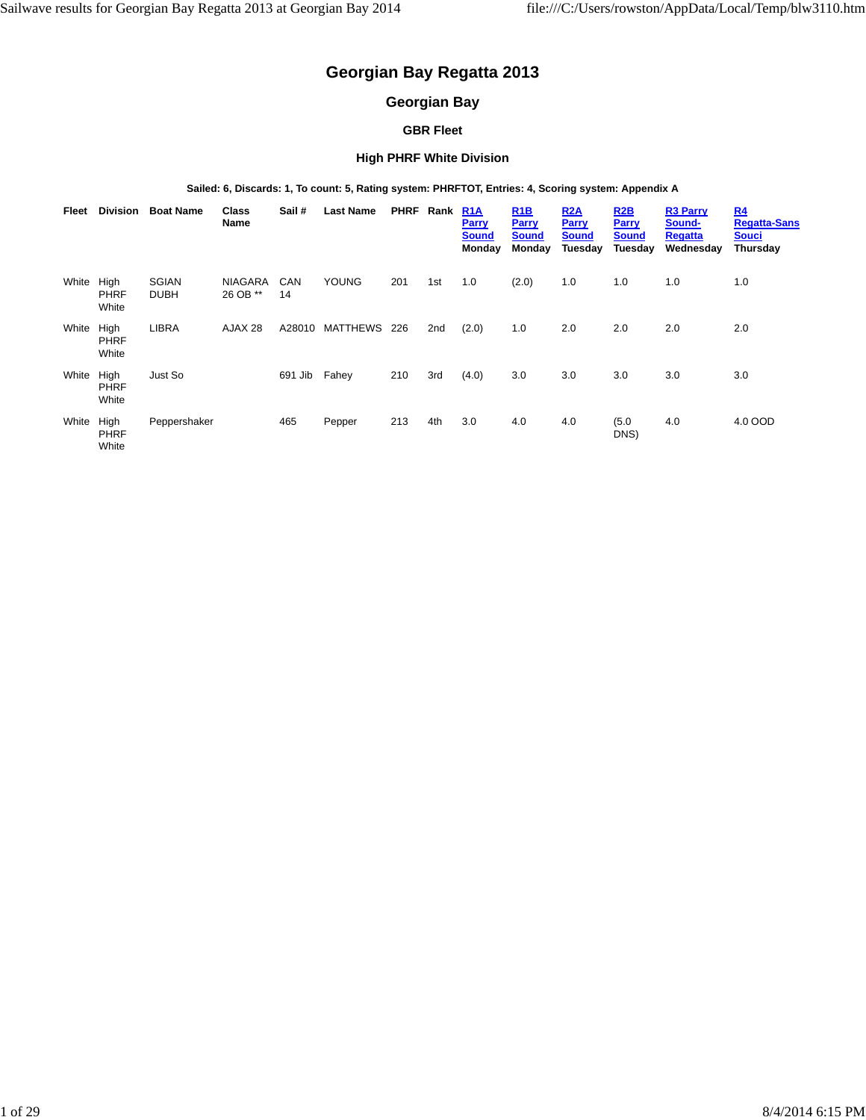# **Georgian Bay Regatta 2013**

## **Georgian Bay**

### **GBR Fleet**

#### **High PHRF White Division**

**Sailed: 6, Discards: 1, To count: 5, Rating system: PHRFTOT, Entries: 4, Scoring system: Appendix A**

| Fleet | <b>Division</b>              | <b>Boat Name</b>            | Class<br><b>Name</b>       | Sail #           | <b>Last Name</b> | <b>PHRF</b> | Rank | <b>R1A</b><br><b>Parry</b><br><b>Sound</b><br>Monday | R1B<br><b>Parry</b><br>Sound<br>Monday | R2A<br>Parry<br><b>Sound</b><br>Tuesday | R2B<br>Parry<br><b>Sound</b><br>Tuesday | <b>R3 Parry</b><br>Sound-<br><b>Regatta</b><br>Wednesday | R <sub>4</sub><br><b>Regatta-Sans</b><br><b>Souci</b><br>Thursday |
|-------|------------------------------|-----------------------------|----------------------------|------------------|------------------|-------------|------|------------------------------------------------------|----------------------------------------|-----------------------------------------|-----------------------------------------|----------------------------------------------------------|-------------------------------------------------------------------|
| White | High<br><b>PHRF</b><br>White | <b>SGIAN</b><br><b>DUBH</b> | <b>NIAGARA</b><br>26 OB ** | <b>CAN</b><br>14 | <b>YOUNG</b>     | 201         | 1st  | 1.0                                                  | (2.0)                                  | 1.0                                     | 1.0                                     | 1.0                                                      | 1.0                                                               |
| White | High<br><b>PHRF</b><br>White | <b>LIBRA</b>                | AJAX 28                    | A28010           | MATTHEWS         | 226         | 2nd  | (2.0)                                                | 1.0                                    | 2.0                                     | 2.0                                     | 2.0                                                      | 2.0                                                               |
| White | High<br><b>PHRF</b><br>White | Just So                     |                            | 691 Jib          | Fahey            | 210         | 3rd  | (4.0)                                                | 3.0                                    | 3.0                                     | 3.0                                     | 3.0                                                      | 3.0                                                               |
| White | High<br><b>PHRF</b><br>White | Peppershaker                |                            | 465              | Pepper           | 213         | 4th  | 3.0                                                  | 4.0                                    | 4.0                                     | (5.0)<br>DNS)                           | 4.0                                                      | 4.0 OOD                                                           |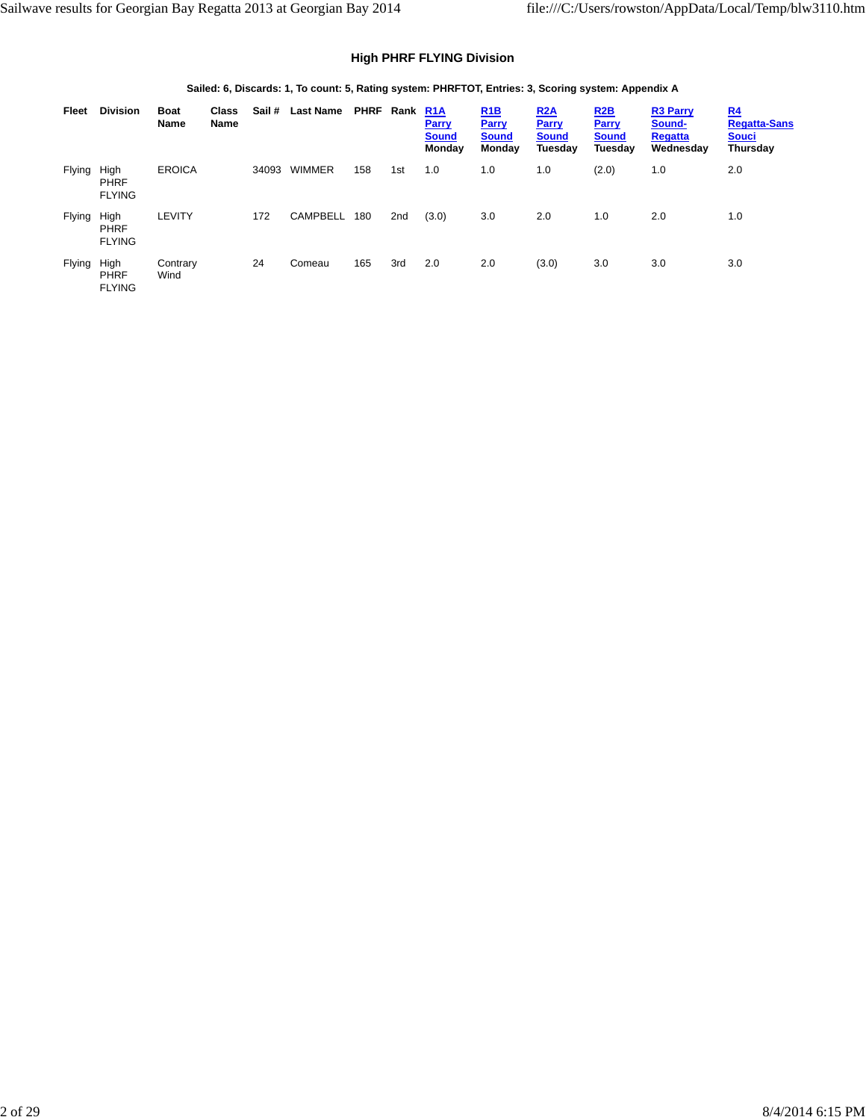### **High PHRF FLYING Division**

#### **Sailed: 6, Discards: 1, To count: 5, Rating system: PHRFTOT, Entries: 3, Scoring system: Appendix A**

| Fleet         | <b>Division</b>                      | <b>Boat</b><br>Name | <b>Class</b><br>Name | Sail # | <b>Last Name</b> | PHRF Rank |     | R <sub>1</sub> A<br>Parry<br><b>Sound</b><br>Monday | <b>R1B</b><br>Parry<br><b>Sound</b><br>Monday | R2A<br>Parry<br><b>Sound</b><br>Tuesday | R2B<br>Parry<br><b>Sound</b><br>Tuesday | <b>R3 Parry</b><br>Sound-<br><b>Regatta</b><br>Wednesday | <u>R4</u><br><b>Regatta-Sans</b><br><b>Souci</b><br>Thursday |
|---------------|--------------------------------------|---------------------|----------------------|--------|------------------|-----------|-----|-----------------------------------------------------|-----------------------------------------------|-----------------------------------------|-----------------------------------------|----------------------------------------------------------|--------------------------------------------------------------|
| <b>Flying</b> | High<br><b>PHRF</b><br><b>FLYING</b> | <b>EROICA</b>       |                      | 34093  | <b>WIMMER</b>    | 158       | 1st | 1.0                                                 | 1.0                                           | 1.0                                     | (2.0)                                   | 1.0                                                      | 2.0                                                          |
| <b>Flying</b> | High<br><b>PHRF</b><br><b>FLYING</b> | LEVITY              |                      | 172    | <b>CAMPBELL</b>  | 180       | 2nd | (3.0)                                               | 3.0                                           | 2.0                                     | 1.0                                     | 2.0                                                      | 1.0                                                          |
| <b>Flying</b> | High<br><b>PHRF</b><br><b>FLYING</b> | Contrary<br>Wind    |                      | 24     | Comeau           | 165       | 3rd | 2.0                                                 | 2.0                                           | (3.0)                                   | 3.0                                     | 3.0                                                      | 3.0                                                          |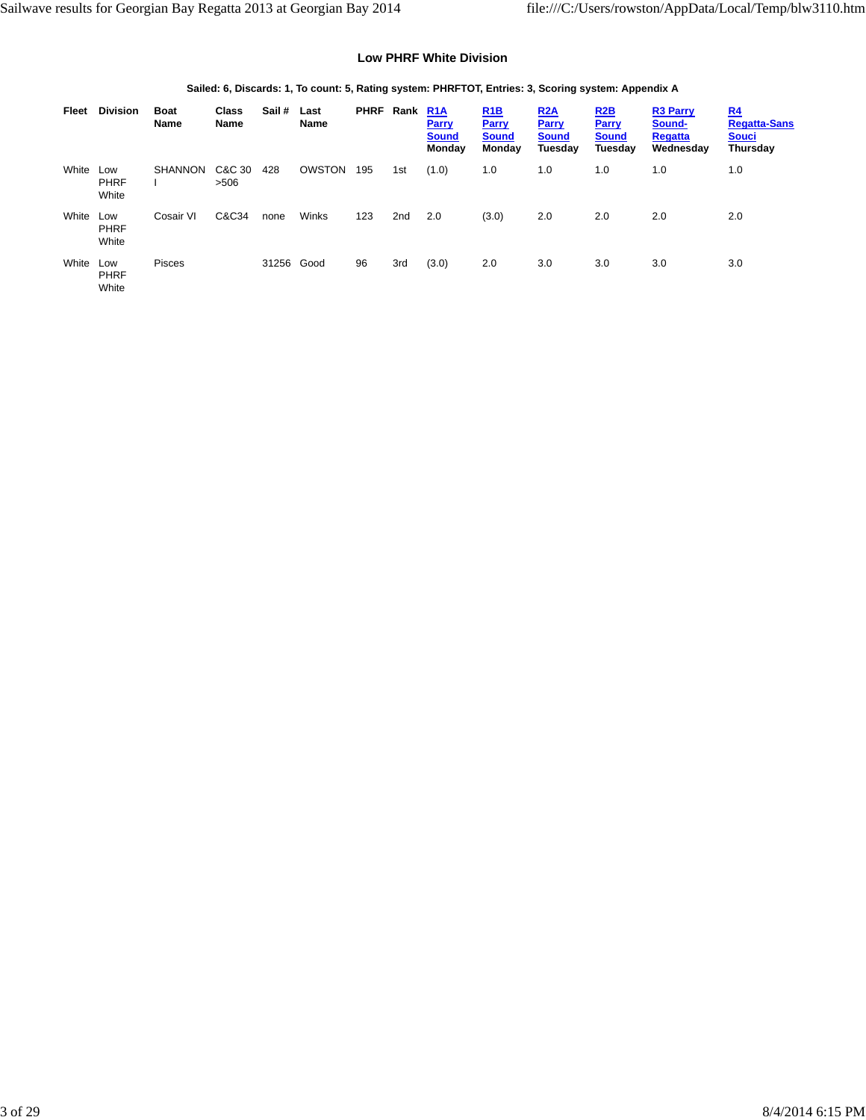#### **Low PHRF White Division**

#### **Sailed: 6, Discards: 1, To count: 5, Rating system: PHRFTOT, Entries: 3, Scoring system: Appendix A**

| Fleet | <b>Division</b>             | <b>Boat</b><br>Name | <b>Class</b><br>Name | Sail # | Last<br><b>Name</b> | <b>PHRF</b> | Rank            | <b>R1A</b><br>Parry<br><b>Sound</b><br>Monday | <u>R<sub>1</sub>B</u><br><b>Parry</b><br><b>Sound</b><br>Monday | <u>R2A</u><br>Parry<br><b>Sound</b><br>Tuesday | <u>R2B</u><br>Parry<br><b>Sound</b><br>Tuesday | <b>R3 Parry</b><br>Sound-<br><b>Regatta</b><br>Wednesday | <u>R4</u><br><b>Regatta-Sans</b><br><b>Souci</b><br>Thursday |
|-------|-----------------------------|---------------------|----------------------|--------|---------------------|-------------|-----------------|-----------------------------------------------|-----------------------------------------------------------------|------------------------------------------------|------------------------------------------------|----------------------------------------------------------|--------------------------------------------------------------|
| White | Low<br><b>PHRF</b><br>White | <b>SHANNON</b>      | C&C 30<br>>506       | 428    | OWSTON              | 195         | 1st             | (1.0)                                         | 1.0                                                             | 1.0                                            | 1.0                                            | 1.0                                                      | 1.0                                                          |
| White | Low<br><b>PHRF</b><br>White | Cosair VI           | C&C34                | none   | Winks               | 123         | 2 <sub>nd</sub> | 2.0                                           | (3.0)                                                           | 2.0                                            | 2.0                                            | 2.0                                                      | 2.0                                                          |
| White | Low<br><b>PHRF</b><br>White | <b>Pisces</b>       |                      | 31256  | Good                | 96          | 3rd             | (3.0)                                         | 2.0                                                             | 3.0                                            | 3.0                                            | 3.0                                                      | 3.0                                                          |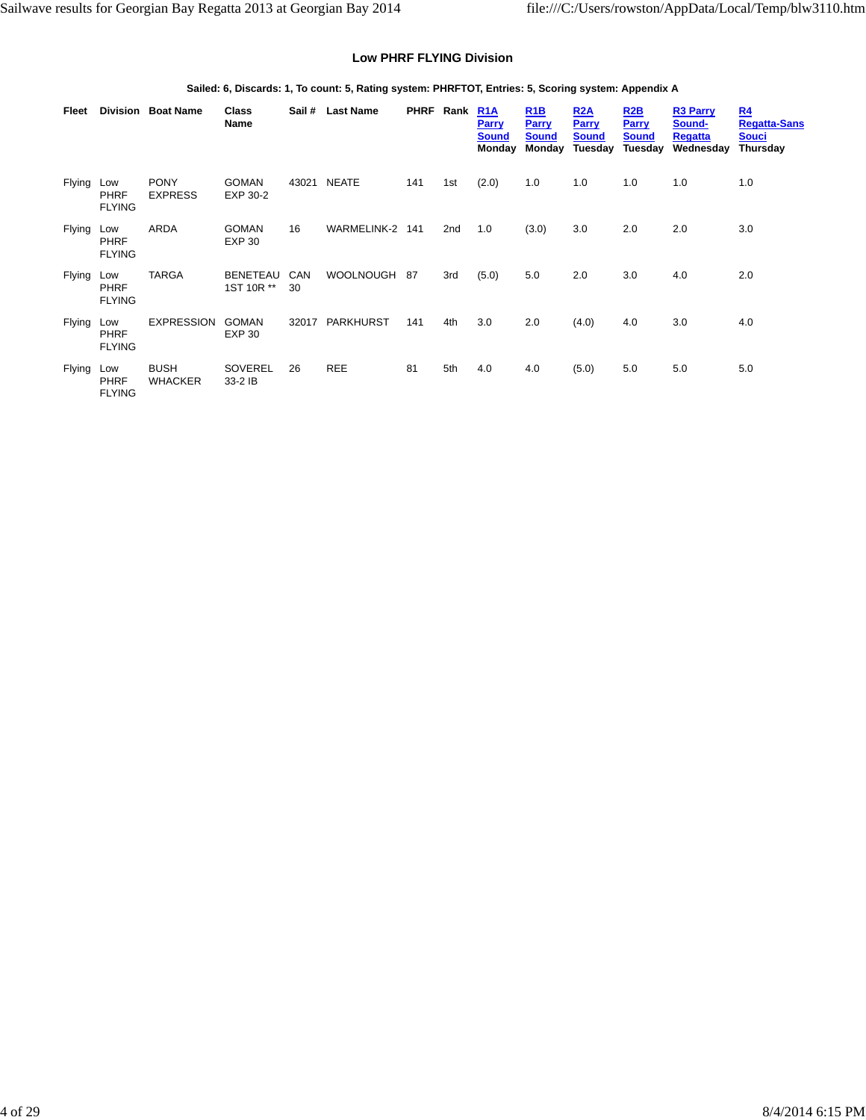#### **Low PHRF FLYING Division**

#### **Sailed: 6, Discards: 1, To count: 5, Rating system: PHRFTOT, Entries: 5, Scoring system: Appendix A**

| Fleet         |                                     | Division Boat Name            | Class<br>Name             | Sail #    | <b>Last Name</b> |     | PHRF Rank | R <sub>1</sub> A<br><b>Parry</b><br><b>Sound</b><br>Monday | R1B<br><b>Parry</b><br><b>Sound</b><br>Monday | <b>R2A</b><br><b>Parry</b><br><b>Sound</b><br>Tuesday | R2B<br><b>Parry</b><br><b>Sound</b><br>Tuesday | <b>R3 Parry</b><br>Sound-<br><b>Regatta</b><br>Wednesday | R <sub>4</sub><br><b>Regatta-Sans</b><br><b>Souci</b><br>Thursday |
|---------------|-------------------------------------|-------------------------------|---------------------------|-----------|------------------|-----|-----------|------------------------------------------------------------|-----------------------------------------------|-------------------------------------------------------|------------------------------------------------|----------------------------------------------------------|-------------------------------------------------------------------|
| <b>Flying</b> | Low<br><b>PHRF</b><br><b>FLYING</b> | <b>PONY</b><br><b>EXPRESS</b> | <b>GOMAN</b><br>EXP 30-2  | 43021     | <b>NEATE</b>     | 141 | 1st       | (2.0)                                                      | 1.0                                           | 1.0                                                   | 1.0                                            | 1.0                                                      | 1.0                                                               |
| Flying        | Low<br><b>PHRF</b><br><b>FLYING</b> | <b>ARDA</b>                   | <b>GOMAN</b><br>EXP 30    | 16        | WARMELINK-2 141  |     | 2nd       | 1.0                                                        | (3.0)                                         | 3.0                                                   | 2.0                                            | 2.0                                                      | 3.0                                                               |
| Flying        | Low<br><b>PHRF</b><br><b>FLYING</b> | <b>TARGA</b>                  | BENETEAU<br>1ST 10R **    | CAN<br>30 | <b>WOOLNOUGH</b> | 87  | 3rd       | (5.0)                                                      | 5.0                                           | 2.0                                                   | 3.0                                            | 4.0                                                      | 2.0                                                               |
| Flying        | Low<br><b>PHRF</b><br><b>FLYING</b> | <b>EXPRESSION</b>             | <b>GOMAN</b><br>EXP 30    | 32017     | <b>PARKHURST</b> | 141 | 4th       | 3.0                                                        | 2.0                                           | (4.0)                                                 | 4.0                                            | 3.0                                                      | 4.0                                                               |
| Flying        | Low<br><b>PHRF</b><br><b>FLYING</b> | <b>BUSH</b><br><b>WHACKER</b> | <b>SOVEREL</b><br>33-2 IB | 26        | <b>REE</b>       | 81  | 5th       | 4.0                                                        | 4.0                                           | (5.0)                                                 | 5.0                                            | 5.0                                                      | 5.0                                                               |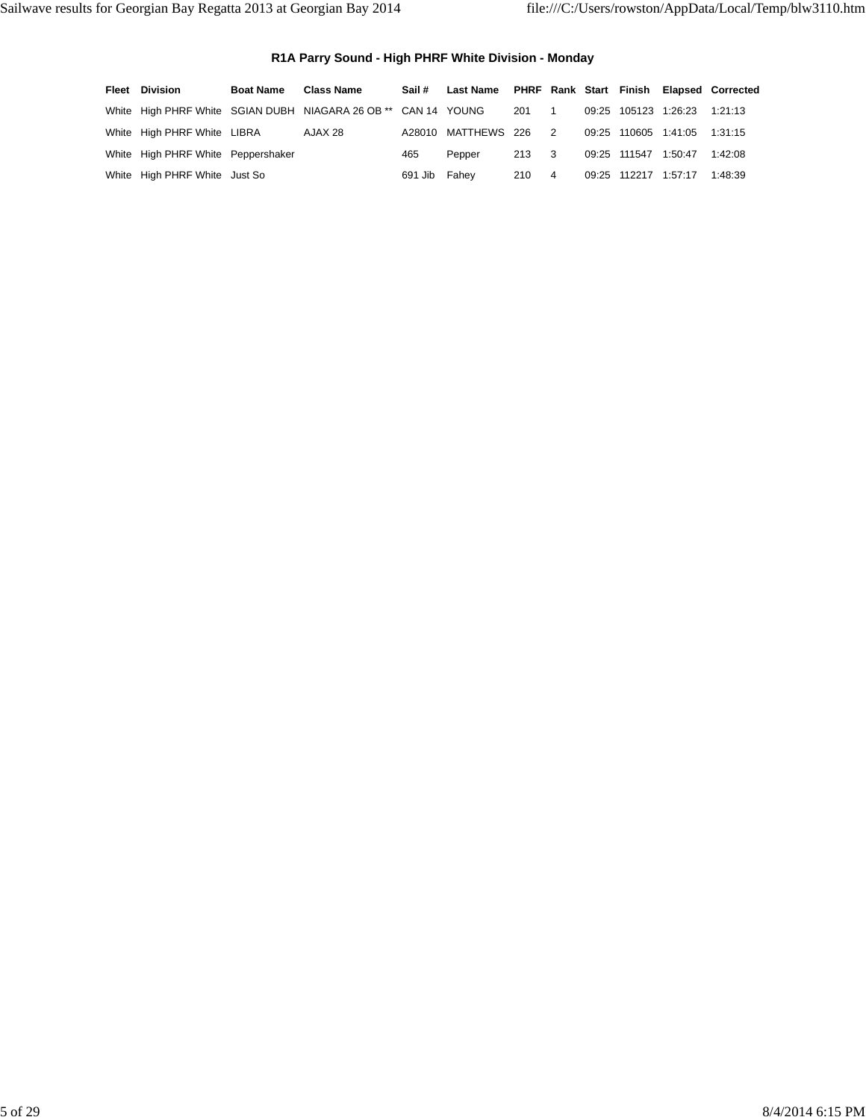### **R1A Parry Sound - High PHRF White Division - Monday**

| <b>Fleet Division</b>              | <b>Boat Name</b> | <b>Class Name</b>                                              |         | Sail # Last Name PHRF Rank Start Finish Elapsed Corrected |                                 |                |                      |                      |         |
|------------------------------------|------------------|----------------------------------------------------------------|---------|-----------------------------------------------------------|---------------------------------|----------------|----------------------|----------------------|---------|
|                                    |                  | White High PHRF White SGIAN DUBH NIAGARA 26 OB ** CAN 14 YOUNG |         |                                                           | 201                             |                |                      | 09:25 105123 1:26:23 | 1:21:13 |
| White High PHRF White LIBRA        |                  | AJAX 28                                                        |         | A28010 MATTHEWS 226 2                                     |                                 |                |                      | 09:25 110605 1:41:05 | 1:31:15 |
| White High PHRF White Peppershaker |                  |                                                                | 465     | Pepper                                                    | 213<br>$\overline{\phantom{a}}$ |                | 09:25 111547 1:50:47 |                      | 1:42:08 |
| White High PHRF White Just So      |                  |                                                                | 691 Jib | Fahev                                                     | 210                             | $\overline{4}$ |                      | 09:25 112217 1:57:17 | 1:48:39 |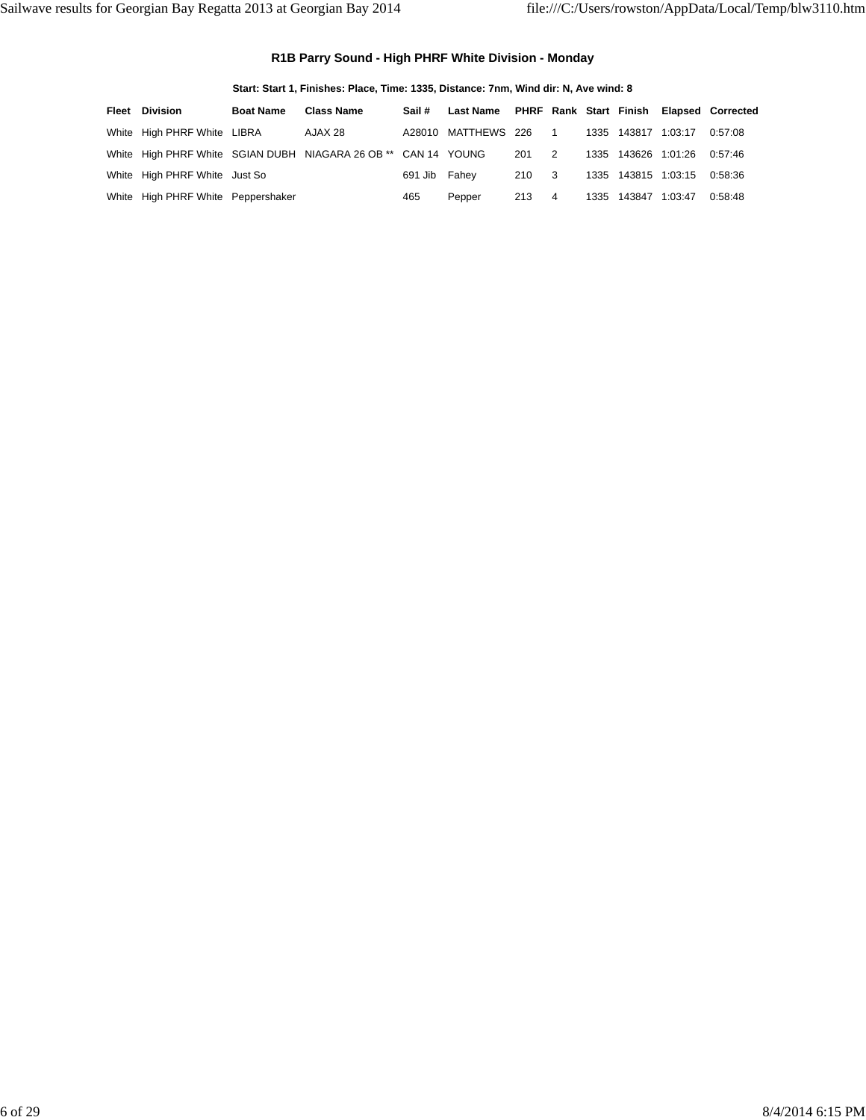### **R1B Parry Sound - High PHRF White Division - Monday**

|       |                                    | Start: Start 1, Finishes: Place, Time: 1335, Distance: 7nm, Wind dir: N, Ave wind: 8 |                                                                |         |                     |     |                |  |                     |         |                                          |  |  |  |
|-------|------------------------------------|--------------------------------------------------------------------------------------|----------------------------------------------------------------|---------|---------------------|-----|----------------|--|---------------------|---------|------------------------------------------|--|--|--|
| Fleet | Division                           | <b>Boat Name</b>                                                                     | <b>Class Name</b>                                              | Sail #  | Last Name           |     |                |  |                     |         | PHRF Rank Start Finish Elapsed Corrected |  |  |  |
|       | White High PHRF White LIBRA        |                                                                                      | AJAX 28                                                        |         | A28010 MATTHEWS 226 |     | $\overline{1}$ |  | 1335 143817         | 1.03.17 | 0:57:08                                  |  |  |  |
|       |                                    |                                                                                      | White High PHRF White SGIAN DUBH NIAGARA 26 OB ** CAN 14 YOUNG |         |                     | 201 | 2              |  | 1335 143626 1:01:26 |         | 0.57.46                                  |  |  |  |
|       | White High PHRF White Just So      |                                                                                      |                                                                | 691 Jib | Fahev               | 210 | $_{3}$         |  | 1335 143815 1:03:15 |         | 0:58:36                                  |  |  |  |
|       | White High PHRF White Peppershaker |                                                                                      |                                                                | 465     | Pepper              | 213 | $\overline{4}$ |  | 1335 143847         | 1:03:47 | 0:58:48                                  |  |  |  |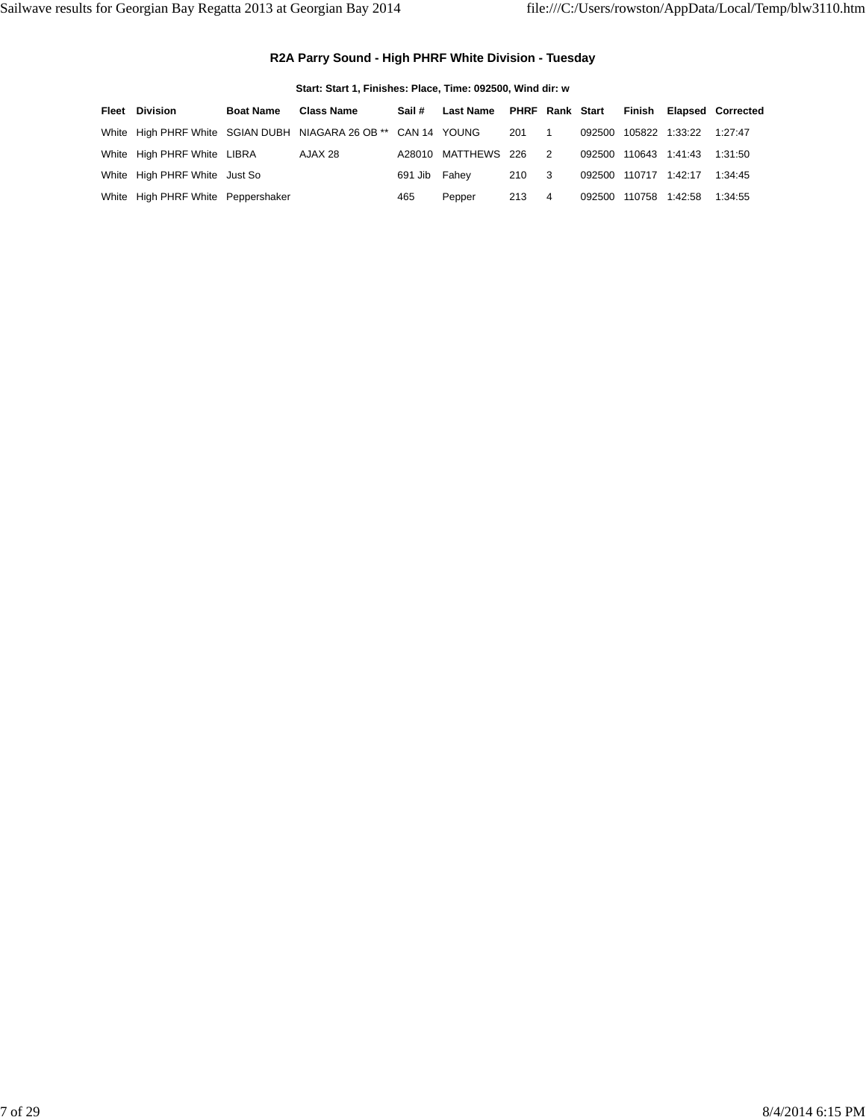### **R2A Parry Sound - High PHRF White Division - Tuesday**

| Start: Start 1, Finishes: Place, Time: 092500, Wind dir: w |                  |                                                                |               |                           |       |                          |  |                       |  |                          |  |  |  |
|------------------------------------------------------------|------------------|----------------------------------------------------------------|---------------|---------------------------|-------|--------------------------|--|-----------------------|--|--------------------------|--|--|--|
| <b>Fleet Division</b>                                      | <b>Boat Name</b> | <b>Class Name</b>                                              | Sail#         | Last Name PHRF Rank Start |       |                          |  | Finish                |  | <b>Elapsed Corrected</b> |  |  |  |
|                                                            |                  | White High PHRF White SGIAN DUBH NIAGARA 26 OB ** CAN 14 YOUNG |               |                           | 201   | $\overline{\phantom{1}}$ |  | 092500 105822 1:33:22 |  | 1:27:47                  |  |  |  |
| White High PHRF White LIBRA                                |                  | AJAX 28                                                        |               | A28010 MATTHEWS 226       |       | 2                        |  | 092500 110643 1:41:43 |  | 1:31:50                  |  |  |  |
| White High PHRF White Just So                              |                  |                                                                | 691 Jib Fahey |                           | 210 3 |                          |  | 092500 110717 1:42:17 |  | 1:34:45                  |  |  |  |
| White High PHRF White Peppershaker                         |                  |                                                                | 465           | Pepper                    | 213   | 4                        |  | 092500 110758 1:42:58 |  | 1:34:55                  |  |  |  |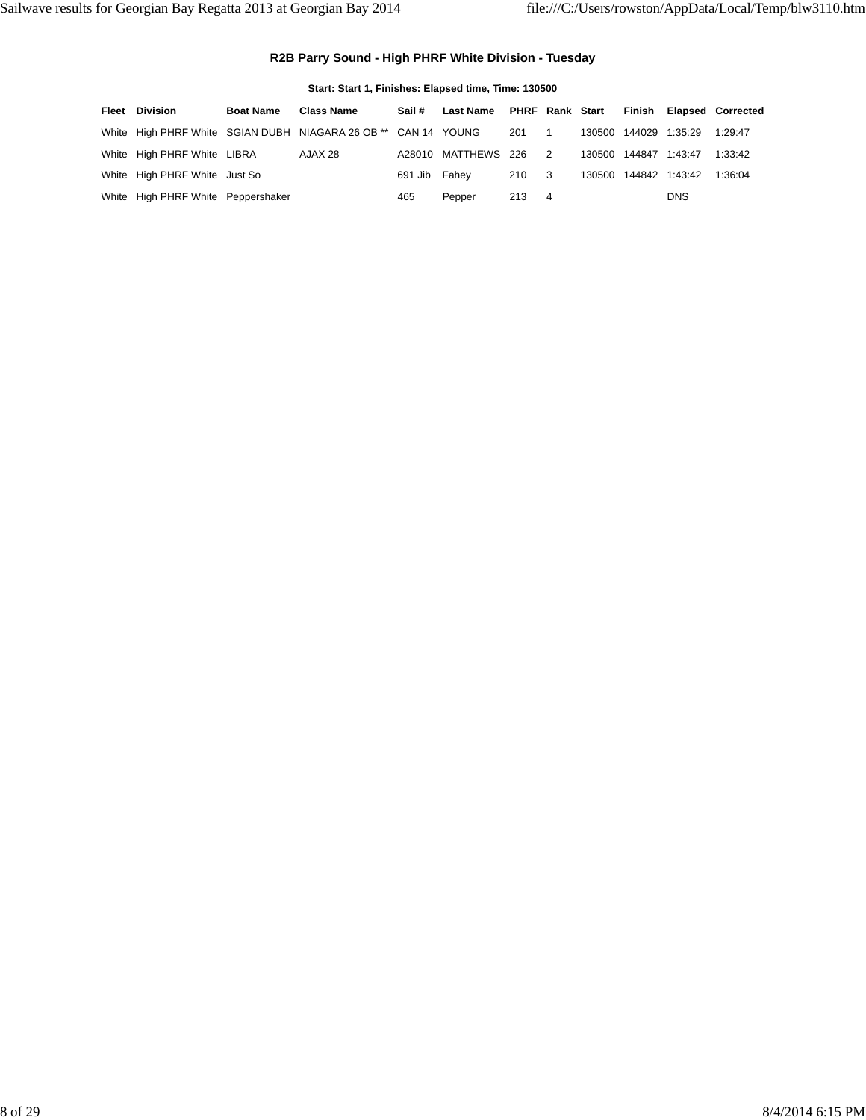### **R2B Parry Sound - High PHRF White Division - Tuesday**

| Start: Start 1, Finishes: Elapsed time, Time: 130500 |                  |                                                                |               |                           |                                 |  |  |                       |                       |                          |  |  |  |  |
|------------------------------------------------------|------------------|----------------------------------------------------------------|---------------|---------------------------|---------------------------------|--|--|-----------------------|-----------------------|--------------------------|--|--|--|--|
| Fleet Division                                       | <b>Boat Name</b> | <b>Class Name</b>                                              | Sail #        | Last Name PHRF Rank Start |                                 |  |  |                       |                       | Finish Elapsed Corrected |  |  |  |  |
|                                                      |                  | White High PHRF White SGIAN DUBH NIAGARA 26 OB ** CAN 14 YOUNG |               |                           | 201<br>$\overline{\phantom{1}}$ |  |  | 130500 144029 1:35:29 |                       | 1:29:47                  |  |  |  |  |
| White High PHRF White LIBRA                          |                  | AJAX 28                                                        |               | A28010 MATTHEWS 226 2     |                                 |  |  | 130500 144847 1:43:47 |                       | 1:33:42                  |  |  |  |  |
| White High PHRF White Just So                        |                  |                                                                | 691 Jib Fahey |                           | 210 3                           |  |  |                       | 130500 144842 1:43:42 | 1:36:04                  |  |  |  |  |
| White High PHRF White Peppershaker                   |                  |                                                                | 465           | Pepper                    | 213 4                           |  |  |                       | <b>DNS</b>            |                          |  |  |  |  |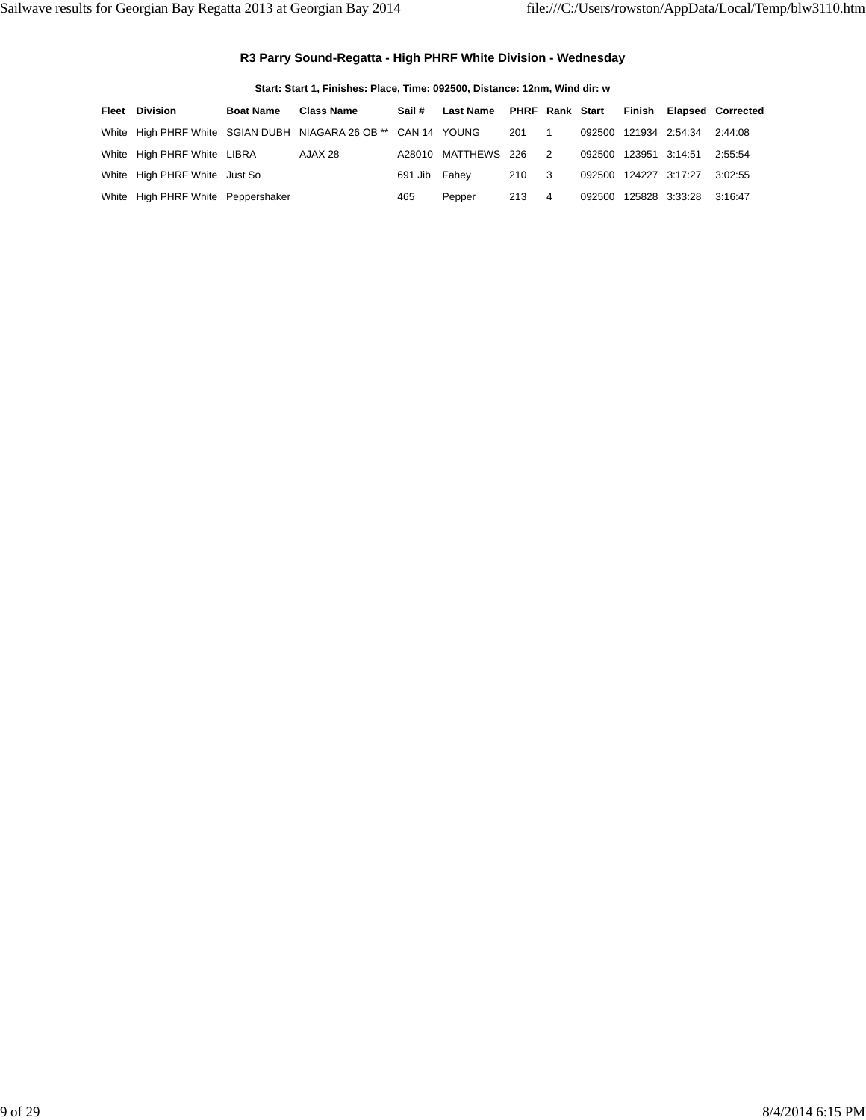#### **R3 Parry Sound-Regatta - High PHRF White Division - Wednesday**

**Start: Start 1, Finishes: Place, Time: 092500, Distance: 12nm, Wind dir: w**

| <b>Fleet Division</b>              | <b>Boat Name</b> | <b>Class Name</b>                                              | Sail #        | Last Name             |       |                |                       | PHRF Rank Start Finish Elapsed Corrected |
|------------------------------------|------------------|----------------------------------------------------------------|---------------|-----------------------|-------|----------------|-----------------------|------------------------------------------|
|                                    |                  | White High PHRF White SGIAN DUBH NIAGARA 26 OB ** CAN 14 YOUNG |               |                       | 201 1 |                | 092500 121934 2:54:34 | 2:44:08                                  |
| White High PHRF White LIBRA        |                  | AJAX 28                                                        |               | A28010 MATTHEWS 226 2 |       |                | 092500 123951 3:14:51 | 2:55:54                                  |
| White High PHRF White Just So      |                  |                                                                | 691 Jib Fahey |                       | 210 3 |                | 092500 124227 3:17:27 | 3:02:55                                  |
| White High PHRF White Peppershaker |                  |                                                                | 465           | Pepper                | 213   | $\overline{4}$ | 092500 125828 3:33:28 | 3:16:47                                  |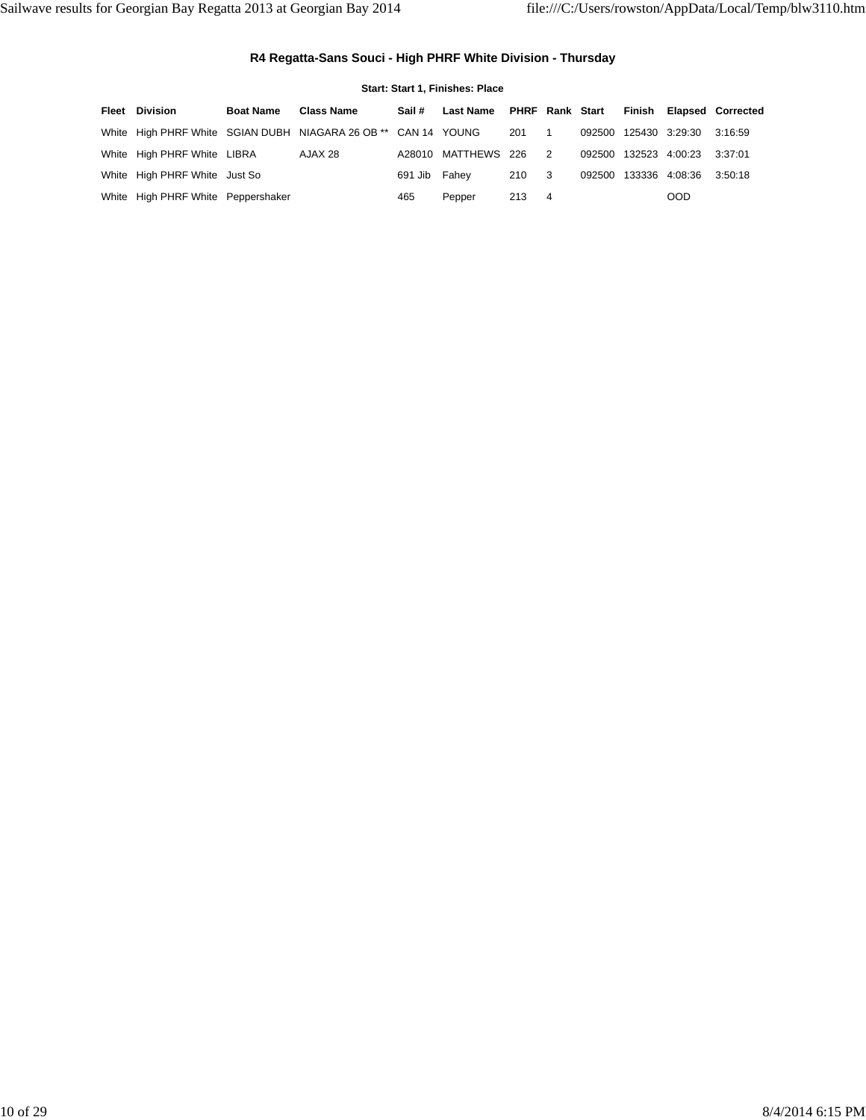### **R4 Regatta-Sans Souci - High PHRF White Division - Thursday**

|                                    |                  |                                                                |               | Start: Start 1, Finishes: Place |                                 |                       |                       |                          |
|------------------------------------|------------------|----------------------------------------------------------------|---------------|---------------------------------|---------------------------------|-----------------------|-----------------------|--------------------------|
| Fleet Division                     | <b>Boat Name</b> | <b>Class Name</b>                                              | Sail #        | Last Name PHRF Rank Start       |                                 |                       |                       | Finish Elapsed Corrected |
|                                    |                  | White High PHRF White SGIAN DUBH NIAGARA 26 OB ** CAN 14 YOUNG |               |                                 | 201<br>$\overline{\phantom{1}}$ | 092500 125430 3:29:30 |                       | 3:16:59                  |
| White High PHRF White LIBRA        |                  | AJAX 28                                                        |               | A28010 MATTHEWS 226 2           |                                 |                       | 092500 132523 4:00:23 | 3:37:01                  |
| White High PHRF White Just So      |                  |                                                                | 691 Jib Fahey |                                 | 210 3                           | 092500                | 133336 4:08:36        | 3:50:18                  |
| White High PHRF White Peppershaker |                  |                                                                | 465           | Pepper                          | 213 4                           |                       | <b>OOD</b>            |                          |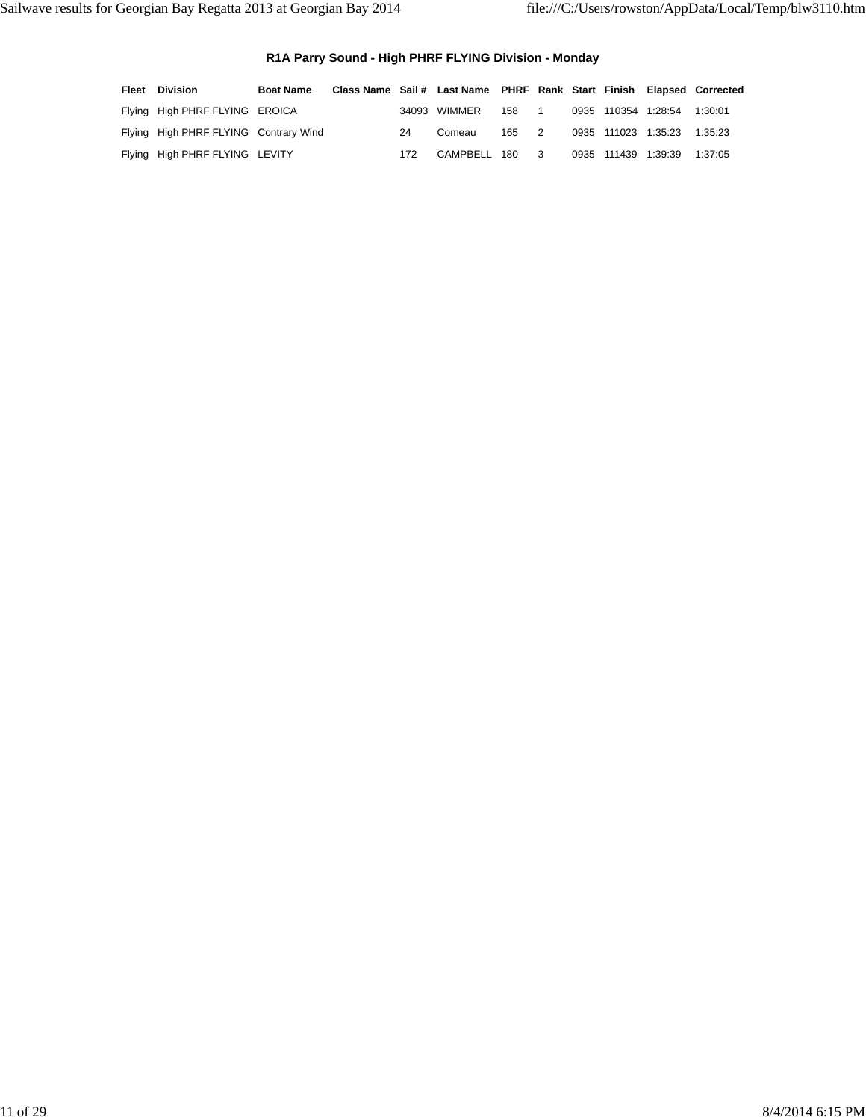### **R1A Parry Sound - High PHRF FLYING Division - Monday**

| <b>Fleet</b> Division                 | <b>Boat Name</b> | Class Name Sail # Last Name PHRF Rank Start Finish Elapsed Corrected |     |                |       |  |                             |         |
|---------------------------------------|------------------|----------------------------------------------------------------------|-----|----------------|-------|--|-----------------------------|---------|
| Flying High PHRF FLYING EROICA        |                  |                                                                      |     | 34093 WIMMER   | 158 1 |  | 0935 110354 1:28:54 1:30:01 |         |
| Flying High PHRF FLYING Contrary Wind |                  |                                                                      | 24  | Comeau         | 165 2 |  | 0935 111023 1:35:23 1:35:23 |         |
| Flying High PHRF FLYING LEVITY        |                  |                                                                      | 172 | CAMPBELL 180 3 |       |  | 0935 111439 1:39:39         | 1:37:05 |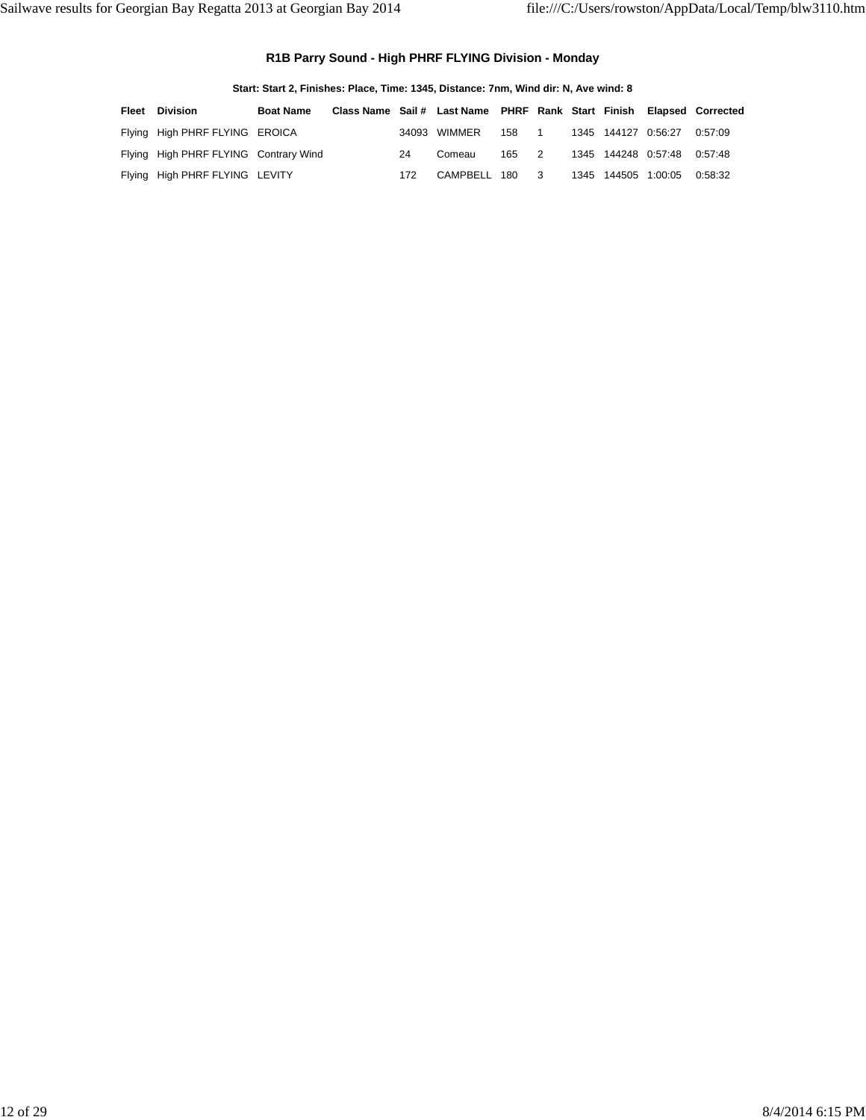### **R1B Parry Sound - High PHRF FLYING Division - Monday**

|       | Start: Start 2, Finishes: Place, Time: 1345, Distance: 7nm, Wind dir: N, Ave wind: 8 |                  |                                                                      |     |              |     |                          |  |                     |                     |         |  |  |  |
|-------|--------------------------------------------------------------------------------------|------------------|----------------------------------------------------------------------|-----|--------------|-----|--------------------------|--|---------------------|---------------------|---------|--|--|--|
| Fleet | <b>Division</b>                                                                      | <b>Boat Name</b> | Class Name Sail # Last Name PHRF Rank Start Finish Elapsed Corrected |     |              |     |                          |  |                     |                     |         |  |  |  |
|       | Flying High PHRF FLYING EROICA                                                       |                  |                                                                      |     | 34093 WIMMER | 158 | $\overline{\phantom{1}}$ |  | 1345 144127 0.56.27 |                     | 0.57.09 |  |  |  |
|       | Flying High PHRF FLYING Contrary Wind                                                |                  |                                                                      | 24  | Comeau       | 165 | $\overline{2}$           |  |                     | 1345 144248 0:57:48 | 0.57.48 |  |  |  |
|       | Flying High PHRF FLYING LEVITY                                                       |                  |                                                                      | 172 | CAMPBELL 180 |     | - 3                      |  | 1345 144505 1:00:05 |                     | 0:58:32 |  |  |  |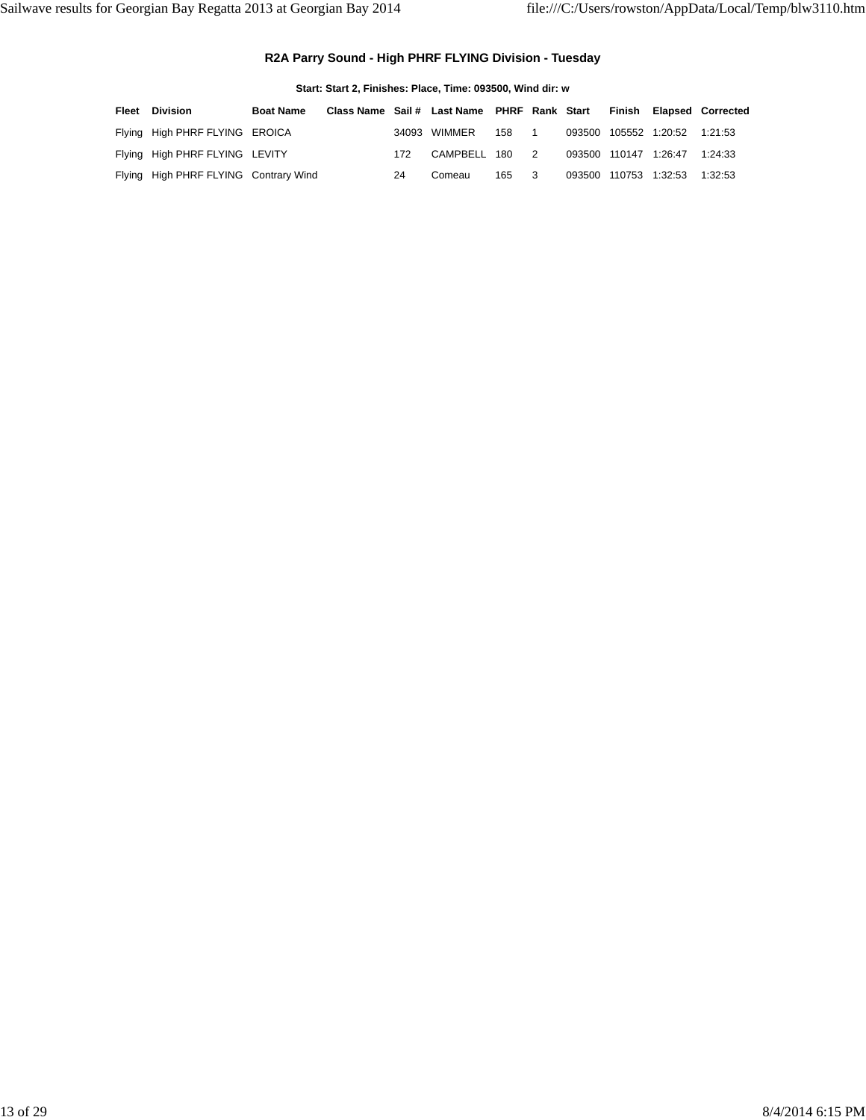### **R2A Parry Sound - High PHRF FLYING Division - Tuesday**

**Start: Start 2, Finishes: Place, Time: 093500, Wind dir: w**

| Fleet | <b>Division</b>                       | <b>Boat Name</b> | Class Name Sail # Last Name PHRF Rank Start |     |                |     |                            |  |                               | Finish Elapsed Corrected |
|-------|---------------------------------------|------------------|---------------------------------------------|-----|----------------|-----|----------------------------|--|-------------------------------|--------------------------|
|       | Flying High PHRF FLYING EROICA        |                  |                                             |     | 34093 WIMMER   | 158 |                            |  | 093500 105552 1:20:52 1:21:53 |                          |
|       | Flying High PHRF FLYING LEVITY        |                  |                                             | 172 | CAMPBELL 180 2 |     |                            |  | 093500 110147 1:26:47 1:24:33 |                          |
|       | Flying High PHRF FLYING Contrary Wind |                  |                                             | 24  | Comeau         | 165 | $\overline{\phantom{a}}$ 3 |  | 093500 110753 1:32:53 1:32:53 |                          |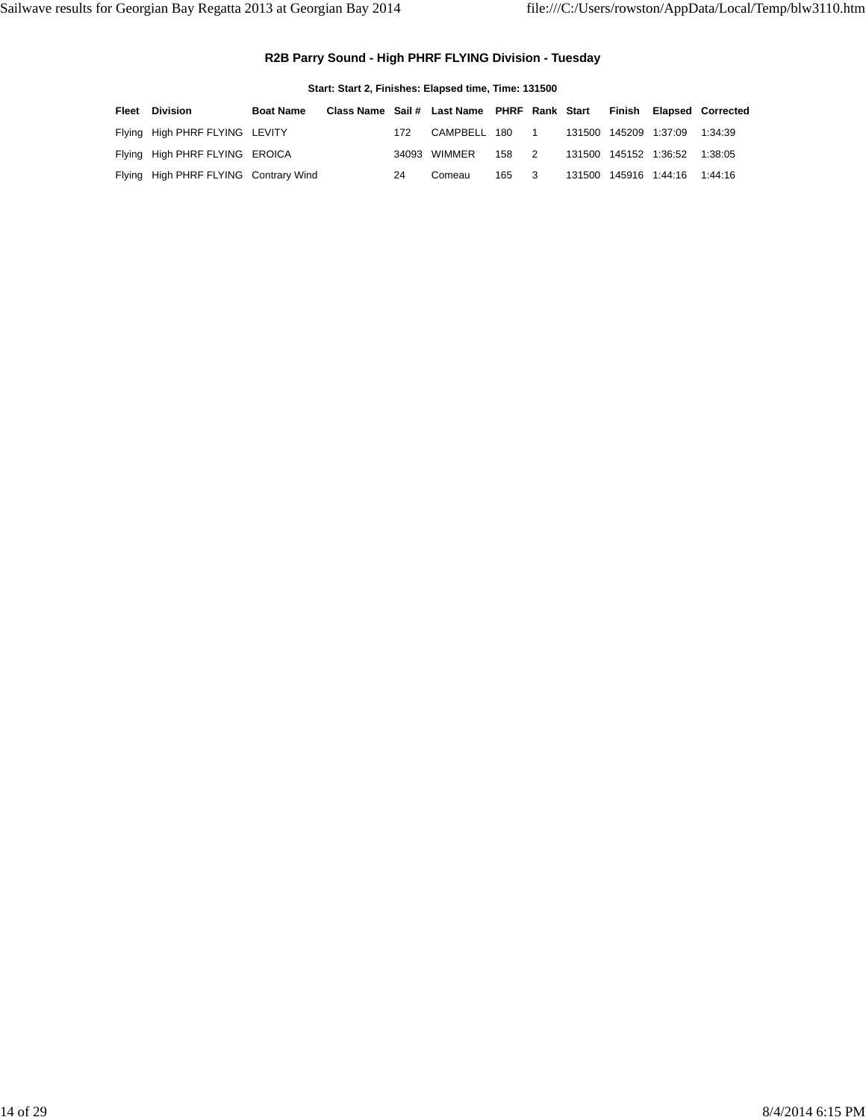### **R2B Parry Sound - High PHRF FLYING Division - Tuesday**

| Start: Start 2, Finishes: Elapsed time, Time: 131500 |                                       |                  |                                             |     |              |     |                          |  |                       |                       |                          |  |
|------------------------------------------------------|---------------------------------------|------------------|---------------------------------------------|-----|--------------|-----|--------------------------|--|-----------------------|-----------------------|--------------------------|--|
| Fleet                                                | <b>Division</b>                       | <b>Boat Name</b> | Class Name Sail # Last Name PHRF Rank Start |     |              |     |                          |  | Finish                |                       | <b>Elapsed Corrected</b> |  |
|                                                      | Flying High PHRF FLYING LEVITY        |                  |                                             | 172 | CAMPBELL 180 |     | $\overline{\phantom{1}}$ |  | 131500 145209 1:37:09 |                       | 1:34:39                  |  |
|                                                      | Flying High PHRF FLYING EROICA        |                  |                                             |     | 34093 WIMMER | 158 | 2                        |  |                       | 131500 145152 1:36:52 | 1:38:05                  |  |
|                                                      | Flying High PHRF FLYING Contrary Wind |                  |                                             | 24  | Comeau       | 165 | - 3                      |  |                       | 131500 145916 1:44:16 | 1:44:16                  |  |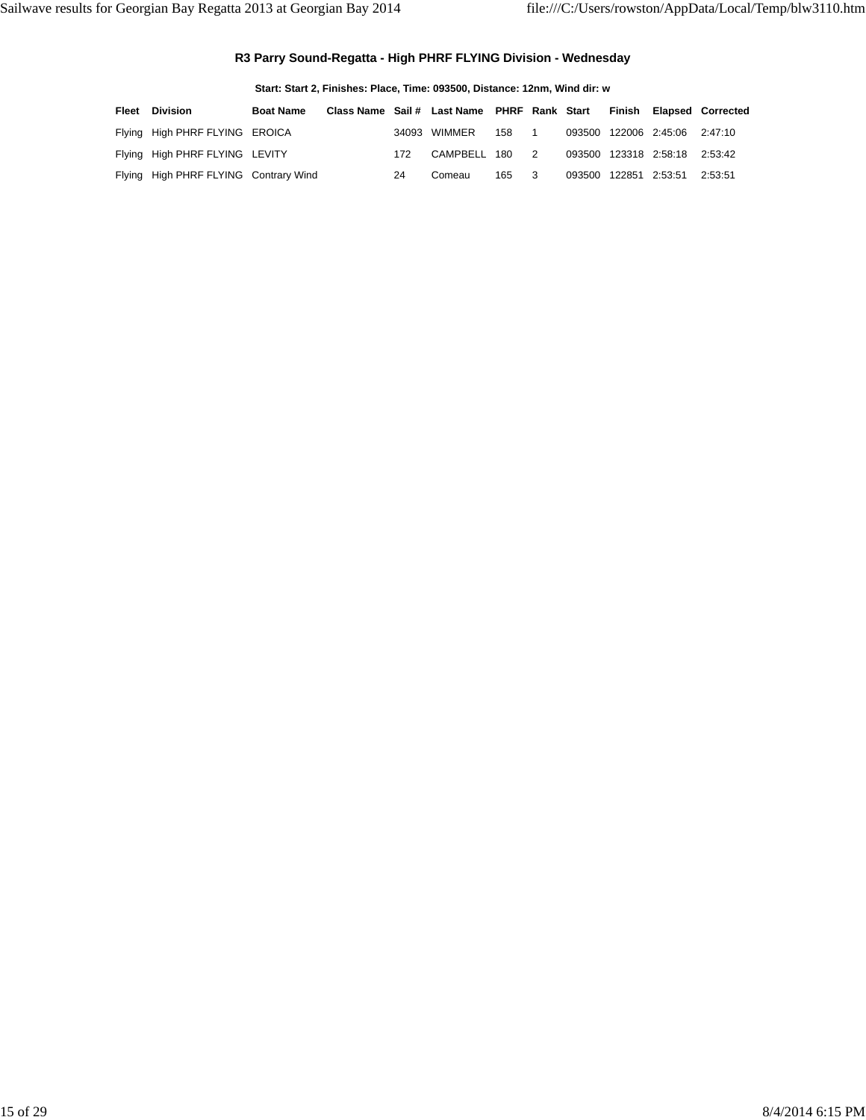### **R3 Parry Sound-Regatta - High PHRF FLYING Division - Wednesday**

|       | Start: Start 2, Finishes: Place, Time: 093500, Distance: 12nm, Wind dir: w |                  |                                             |     |              |     |                |  |        |                               |                          |  |  |
|-------|----------------------------------------------------------------------------|------------------|---------------------------------------------|-----|--------------|-----|----------------|--|--------|-------------------------------|--------------------------|--|--|
| Fleet | <b>Division</b>                                                            | <b>Boat Name</b> | Class Name Sail # Last Name PHRF Rank Start |     |              |     |                |  | Finish |                               | <b>Elapsed Corrected</b> |  |  |
|       | Flying High PHRF FLYING EROICA                                             |                  |                                             |     | 34093 WIMMER | 158 |                |  |        | 093500 122006 2:45:06 2:47:10 |                          |  |  |
|       | Flying High PHRF FLYING LEVITY                                             |                  |                                             | 172 | CAMPBELL 180 |     | $\overline{2}$ |  |        | 093500 123318 2:58:18         | 2:53:42                  |  |  |
|       | Flying High PHRF FLYING Contrary Wind                                      |                  |                                             | 24  | Comeau       | 165 | - 3            |  |        | 093500 122851 2:53:51         | 2:53:51                  |  |  |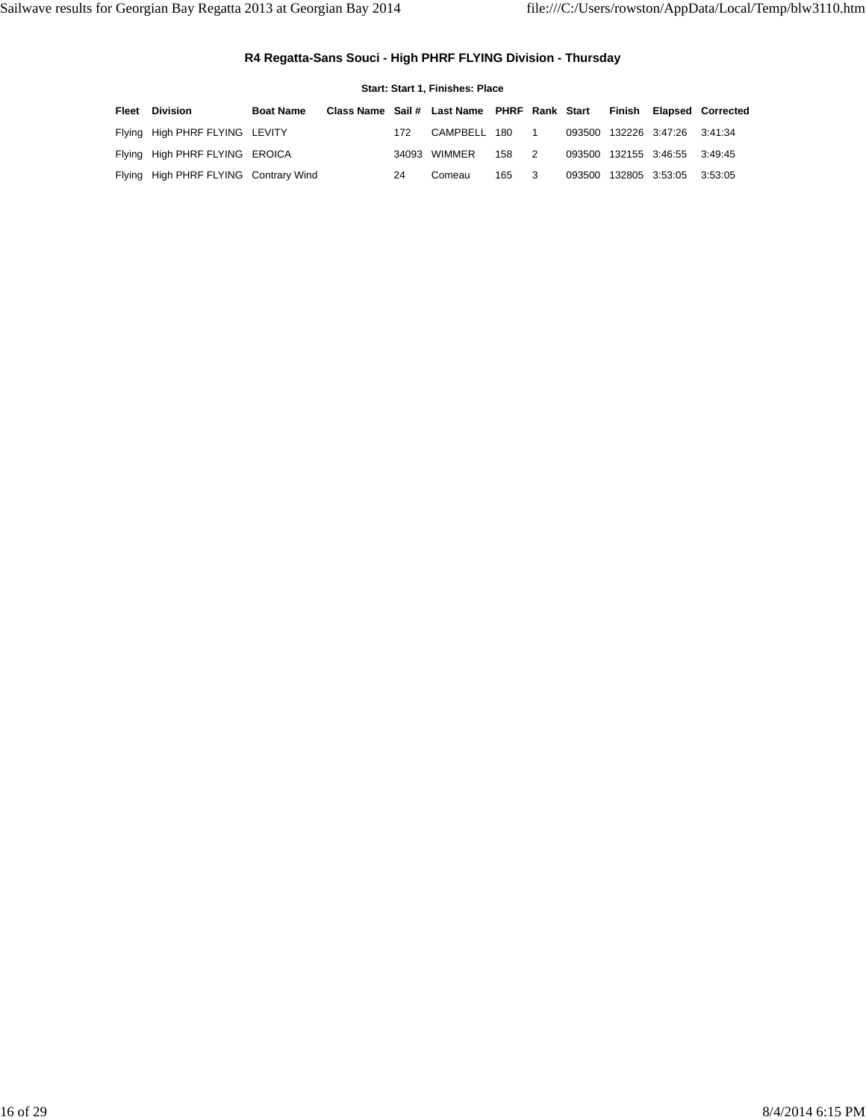### **R4 Regatta-Sans Souci - High PHRF FLYING Division - Thursday**

|        | Start: Start 1, Finishes: Place       |                  |                                             |     |              |     |    |  |  |                               |                          |  |  |
|--------|---------------------------------------|------------------|---------------------------------------------|-----|--------------|-----|----|--|--|-------------------------------|--------------------------|--|--|
| Fleet  | <b>Division</b>                       | <b>Boat Name</b> | Class Name Sail # Last Name PHRF Rank Start |     |              |     |    |  |  |                               | Finish Elapsed Corrected |  |  |
| Flying | High PHRF FLYING LEVITY               |                  |                                             | 172 | CAMPBELL     | 180 |    |  |  | 093500 132226 3:47:26 3:41:34 |                          |  |  |
|        | Flying High PHRF FLYING EROICA        |                  |                                             |     | 34093 WIMMER | 158 | 2  |  |  | 093500 132155 3:46:55 3:49:45 |                          |  |  |
|        | Flying High PHRF FLYING Contrary Wind |                  |                                             | 24  | Comeau       | 165 | -3 |  |  | 093500 132805 3:53:05 3:53:05 |                          |  |  |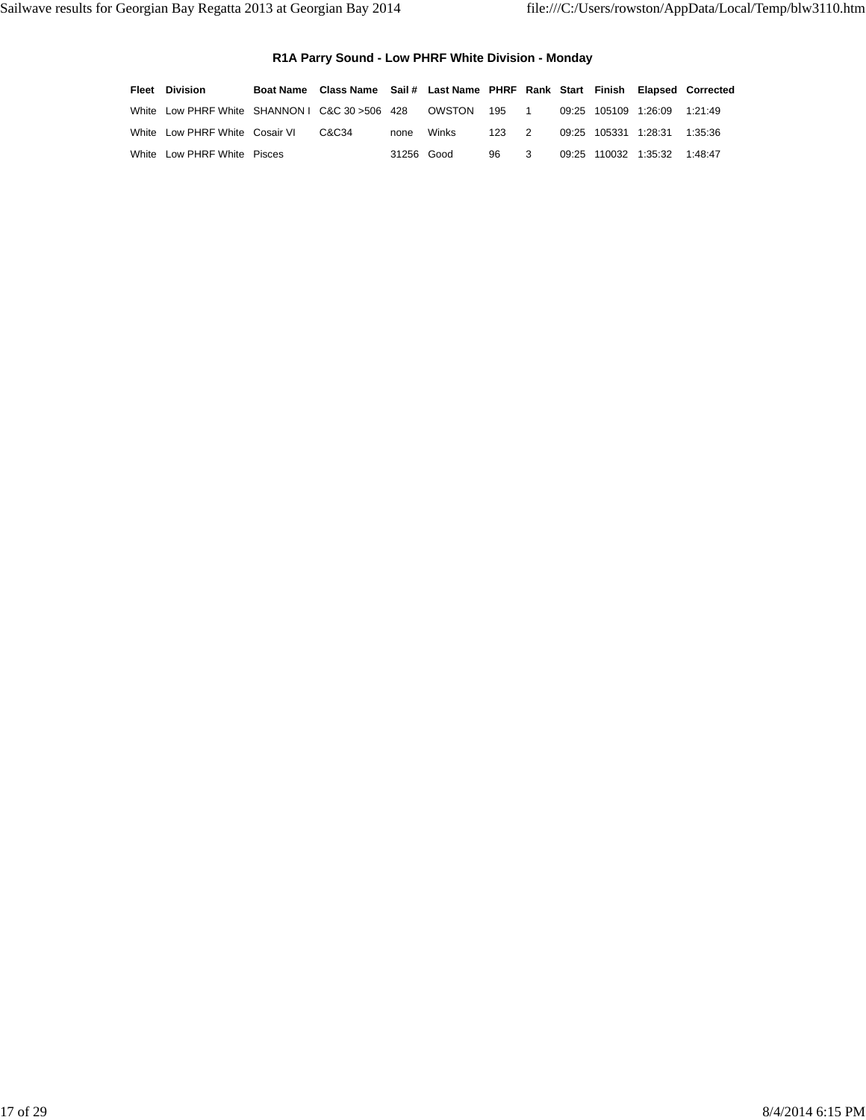### **R1A Parry Sound - Low PHRF White Division - Monday**

| <b>Fleet Division</b>                           | Boat Name Class Name Sail # Last Name PHRF Rank Start Finish Elapsed Corrected |            |            |       |    |                      |                              |         |
|-------------------------------------------------|--------------------------------------------------------------------------------|------------|------------|-------|----|----------------------|------------------------------|---------|
| White Low PHRF White SHANNON I C&C 30 > 506 428 |                                                                                |            | OWSTON     | 195 1 |    |                      | 09:25 105109 1:26:09 1:21:49 |         |
| White Low PHRF White Cosair VI                  | C&C34                                                                          |            | none Winks | 123 2 |    | 09:25 105331 1:28:31 |                              | 1:35:36 |
| White Low PHRF White Pisces                     |                                                                                | 31256 Good |            | 96.   | -3 |                      | 09:25 110032 1:35:32 1:48:47 |         |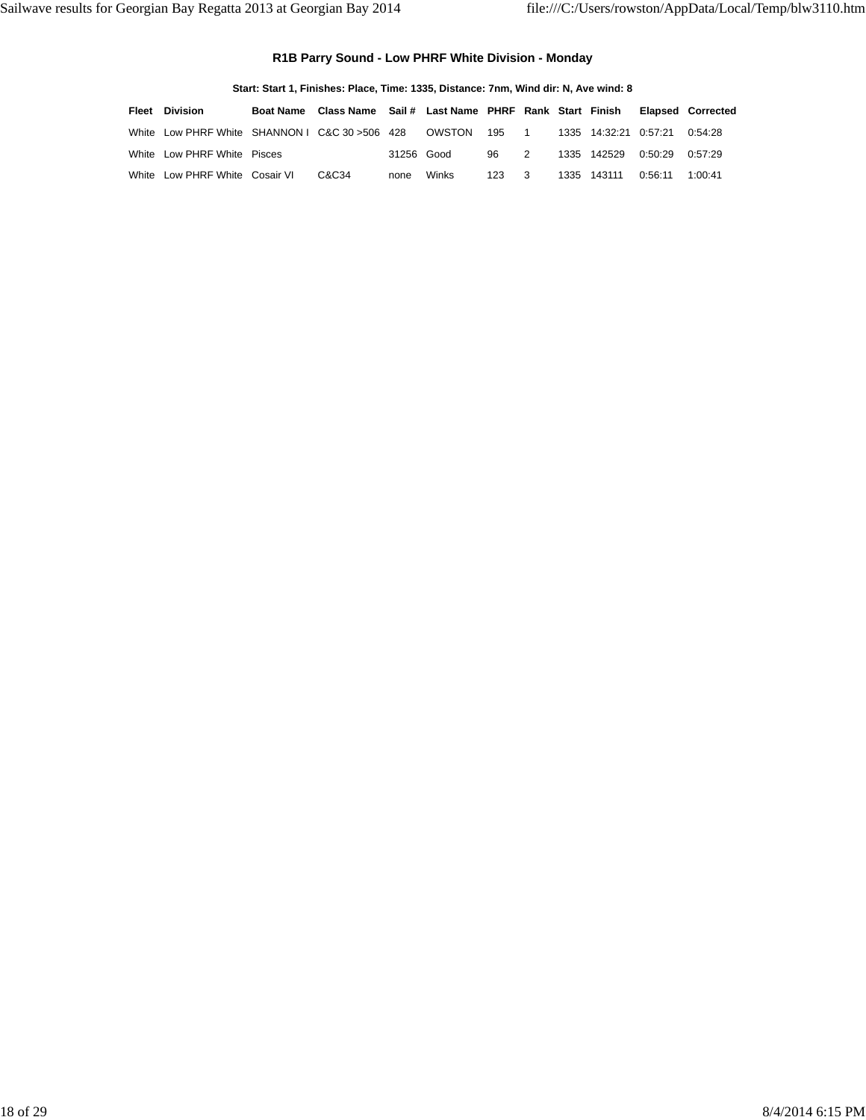### **R1B Parry Sound - Low PHRF White Division - Monday**

|       | Start: Start 1, Finishes: Place, Time: 1335, Distance: 7nm, Wind dir: N, Ave wind: 8 |                  |                                                    |            |        |     |                |      |                       |         |                          |  |  |  |
|-------|--------------------------------------------------------------------------------------|------------------|----------------------------------------------------|------------|--------|-----|----------------|------|-----------------------|---------|--------------------------|--|--|--|
| Fleet | <b>Division</b>                                                                      | <b>Boat Name</b> | Class Name Sail # Last Name PHRF Rank Start Finish |            |        |     |                |      |                       |         | <b>Elapsed Corrected</b> |  |  |  |
|       | White Low PHRF White SHANNON I C&C 30 > 506 428                                      |                  |                                                    |            | OWSTON | 195 | $\overline{1}$ |      | 1335 14:32:21 0:57:21 |         | 0.54.28                  |  |  |  |
|       | White Low PHRF White Pisces                                                          |                  |                                                    | 31256 Good |        | 96. | 2              |      | 1335 142529           | በ 50.29 | 0.57.29                  |  |  |  |
|       | White Low PHRF White Cosair VI                                                       |                  | C&C34                                              | none       | Winks  | 123 |                | 1335 | 143111                | 0:56:11 | 1:00:41                  |  |  |  |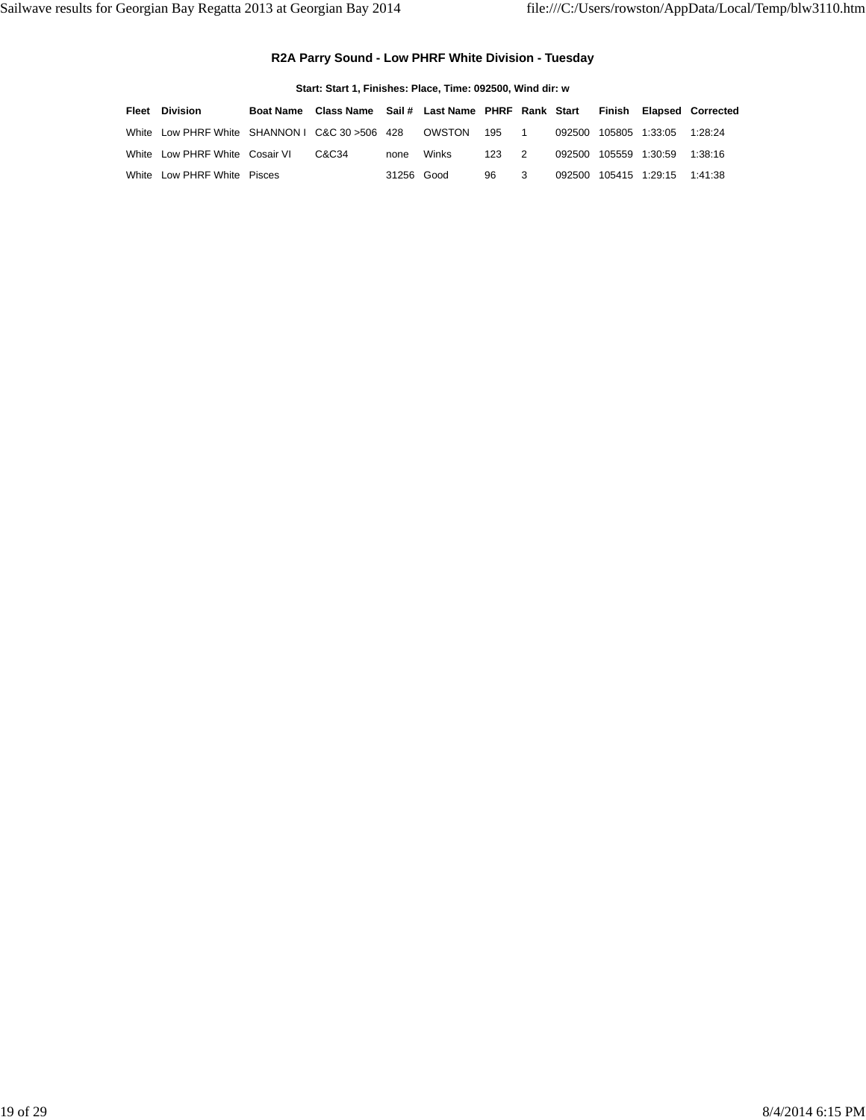### **R2A Parry Sound - Low PHRF White Division - Tuesday**

| Start: Start 1. Finishes: Place. Time: 092500. Wind dir: w |                                                 |  |                                                       |            |        |         |                |        |                |                |                          |  |
|------------------------------------------------------------|-------------------------------------------------|--|-------------------------------------------------------|------------|--------|---------|----------------|--------|----------------|----------------|--------------------------|--|
| Fleet                                                      | <b>Division</b>                                 |  | Boat Name Class Name Sail # Last Name PHRF Rank Start |            |        |         |                |        |                |                | Finish Elapsed Corrected |  |
|                                                            | White Low PHRF White SHANNON I C&C 30 > 506 428 |  |                                                       |            | OWSTON | 195 1   |                | 092500 |                | 105805 1:33:05 | 1.28.24                  |  |
|                                                            | White Low PHRF White Cosair VI                  |  | C&C34                                                 | none       | Winks  | $123 -$ | $\overline{2}$ | 092500 | 105559 1:30:59 |                | 1:38:16                  |  |
|                                                            | White Low PHRF White Pisces                     |  |                                                       | 31256 Good |        | 96      | 3              | 092500 |                |                | 1:41:38                  |  |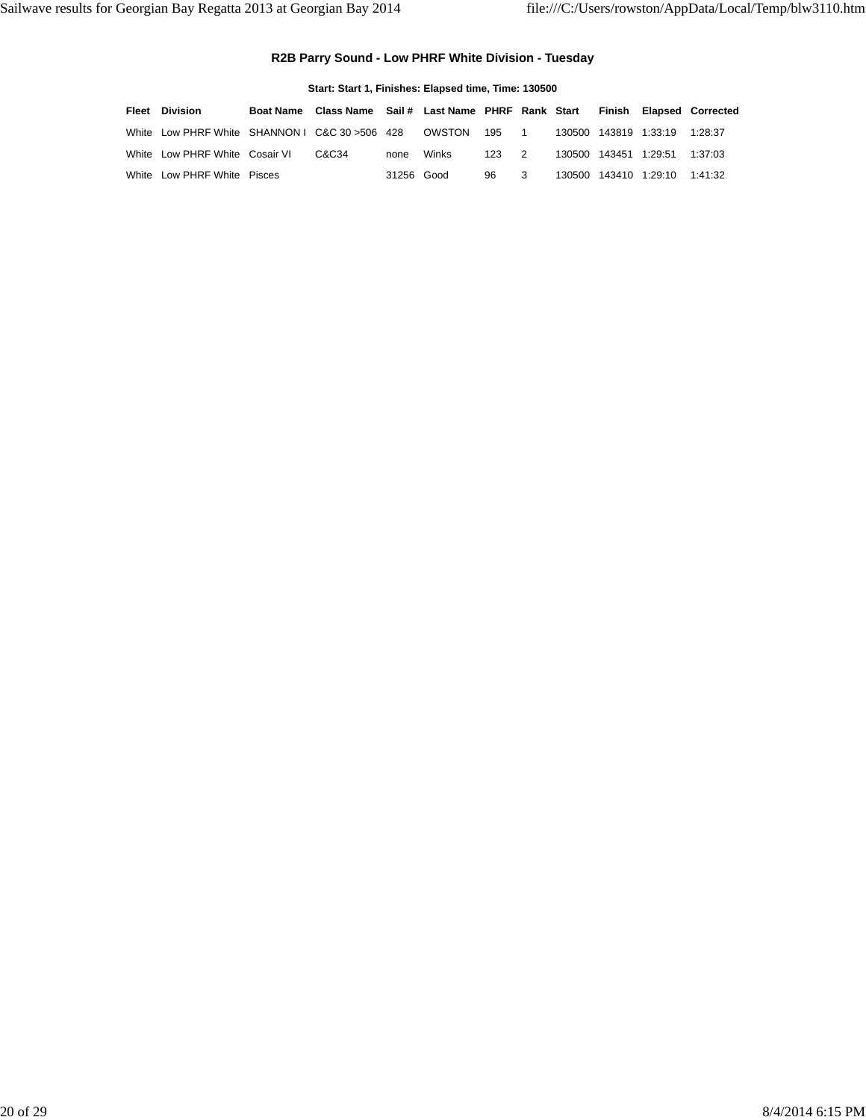### **R2B Parry Sound - Low PHRF White Division - Tuesday**

|       | Start: Start 1, Finishes: Elapsed time, Time: 130500 |                  |                                             |            |        |       |   |        |                |                               |                          |  |  |  |
|-------|------------------------------------------------------|------------------|---------------------------------------------|------------|--------|-------|---|--------|----------------|-------------------------------|--------------------------|--|--|--|
| Fleet | Division                                             | <b>Boat Name</b> | Class Name Sail # Last Name PHRF Rank Start |            |        |       |   |        |                |                               | Finish Elapsed Corrected |  |  |  |
|       | White Low PHRF White SHANNON I C&C 30 > 506 428      |                  |                                             |            | OWSTON | 195 1 |   |        |                | 130500 143819 1:33:19 1:28:37 |                          |  |  |  |
|       | White Low PHRF White Cosair VI                       |                  | C&C34                                       | none       | Winks  | 123   | 2 | 130500 | 143451 1:29:51 |                               | 1:37:03                  |  |  |  |
|       | White Low PHRF White Pisces                          |                  |                                             | 31256 Good |        | 96    | 3 | 130500 |                | 143410 1:29:10                | 1:41:32                  |  |  |  |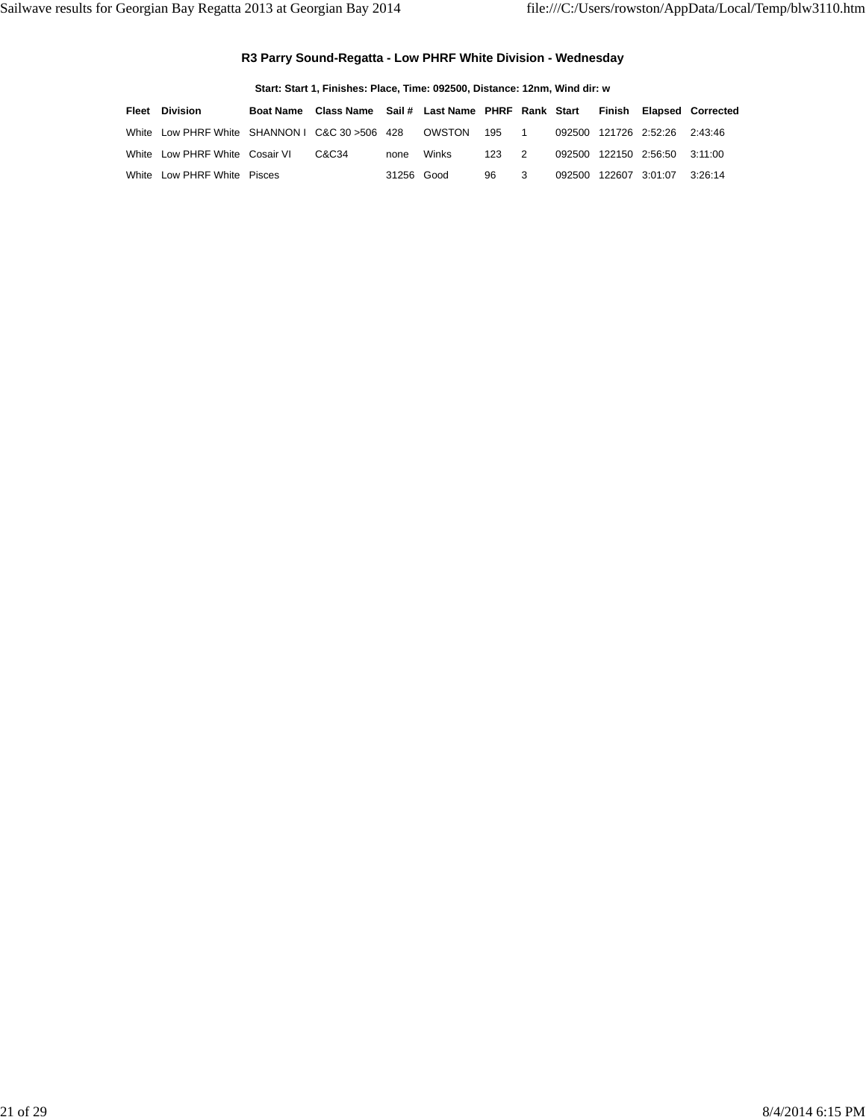### **R3 Parry Sound-Regatta - Low PHRF White Division - Wednesday**

| Start: Start 1, Finishes: Place, Time: 092500, Distance: 12nm, Wind dir: w |                                                 |                  |                                             |            |        |                       |                |        |                |                        |                          |  |
|----------------------------------------------------------------------------|-------------------------------------------------|------------------|---------------------------------------------|------------|--------|-----------------------|----------------|--------|----------------|------------------------|--------------------------|--|
| Fleet                                                                      | <b>Division</b>                                 | <b>Boat Name</b> | Class Name Sail # Last Name PHRF Rank Start |            |        |                       |                |        |                |                        | Finish Elapsed Corrected |  |
|                                                                            | White Low PHRF White SHANNON I C&C 30 > 506 428 |                  |                                             |            | OWSTON | 195<br>$\blacksquare$ |                | 092500 |                | 121726 2:52:26 2:43:46 |                          |  |
|                                                                            | White Low PHRF White Cosair VI                  |                  | C&C34                                       | none       | Winks  | $123 -$               | $\overline{2}$ | 092500 |                | 122150 2:56:50 3:11:00 |                          |  |
|                                                                            | White Low PHRF White Pisces                     |                  |                                             | 31256 Good |        | 96                    | 3              | 092500 | 122607 3:01:07 |                        | 3.26.14                  |  |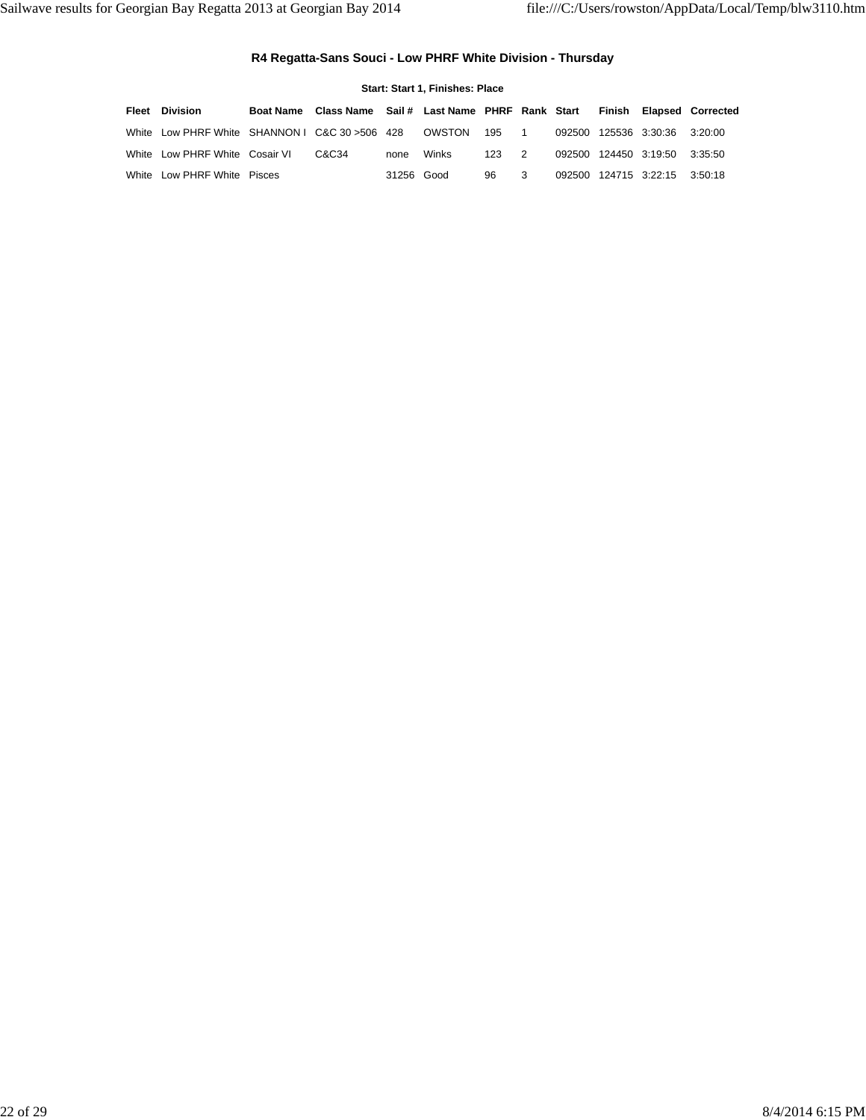### **R4 Regatta-Sans Souci - Low PHRF White Division - Thursday**

| Start: Start 1, Finishes: Place |                                                 |                  |                                             |            |        |       |   |  |  |                               |                          |  |
|---------------------------------|-------------------------------------------------|------------------|---------------------------------------------|------------|--------|-------|---|--|--|-------------------------------|--------------------------|--|
| Fleet                           | Division                                        | <b>Boat Name</b> | Class Name Sail # Last Name PHRF Rank Start |            |        |       |   |  |  |                               | Finish Elapsed Corrected |  |
|                                 | White Low PHRF White SHANNON I C&C 30 > 506 428 |                  |                                             |            | OWSTON | 195 1 |   |  |  | 092500 125536 3:30:36 3:20:00 |                          |  |
|                                 | White Low PHRF White Cosair VI                  |                  | C&C34                                       | none       | Winks  | 123 2 |   |  |  | 092500 124450 3:19:50 3:35:50 |                          |  |
|                                 | White Low PHRF White Pisces                     |                  |                                             | 31256 Good |        | 96    | 3 |  |  | 092500 124715 3:22:15 3:50:18 |                          |  |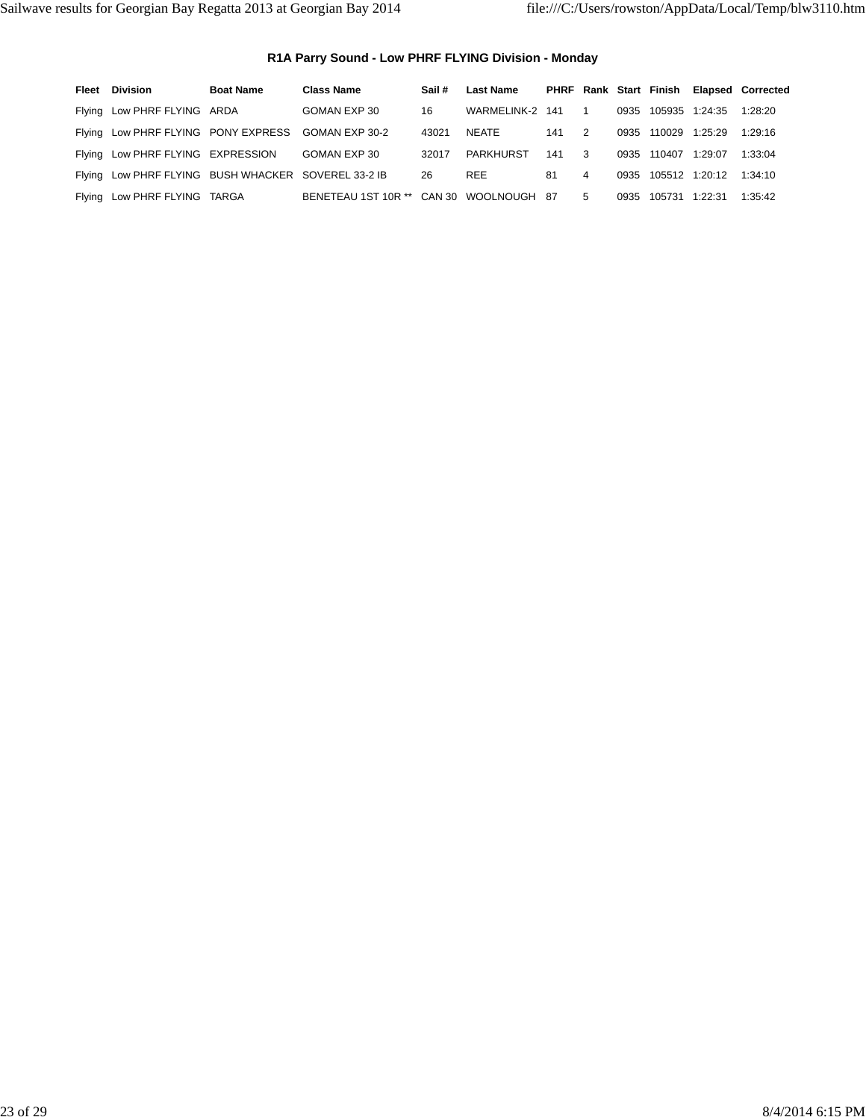### **R1A Parry Sound - Low PHRF FLYING Division - Monday**

| Fleet | Division                                            | <b>Boat Name</b> | <b>Class Name</b>                       | Sail # | <b>Last Name</b> |     |                |      | PHRF Rank Start Finish |                     | <b>Elapsed Corrected</b> |
|-------|-----------------------------------------------------|------------------|-----------------------------------------|--------|------------------|-----|----------------|------|------------------------|---------------------|--------------------------|
|       | Flying Low PHRF FLYING ARDA                         |                  | GOMAN EXP 30                            | 16     | WARMELINK-2 141  |     | $\overline{1}$ |      |                        | 0935 105935 1:24:35 | 1:28:20                  |
|       | Flying Low PHRF FLYING PONY EXPRESS GOMAN EXP 30-2  |                  |                                         | 43021  | NEATE            | 141 | $\overline{2}$ |      | 0935 110029            | 1:25:29             | 1:29:16                  |
|       | Flying Low PHRF FLYING EXPRESSION                   |                  | GOMAN EXP 30                            | 32017  | PARKHURST        | 141 | 3              |      | 0935 110407            | 1:29:07             | 1:33:04                  |
|       | Flying Low PHRF FLYING BUSH WHACKER SOVEREL 33-2 IB |                  |                                         | 26     | <b>REE</b>       | 81  | 4              |      |                        | 0935 105512 1:20:12 | 1:34:10                  |
|       | Flying Low PHRF FLYING TARGA                        |                  | BENETEAU 1ST 10R ** CAN 30 WOOLNOUGH 87 |        |                  |     | 5              | 0935 | 105731                 | 1:22:31             | 1:35:42                  |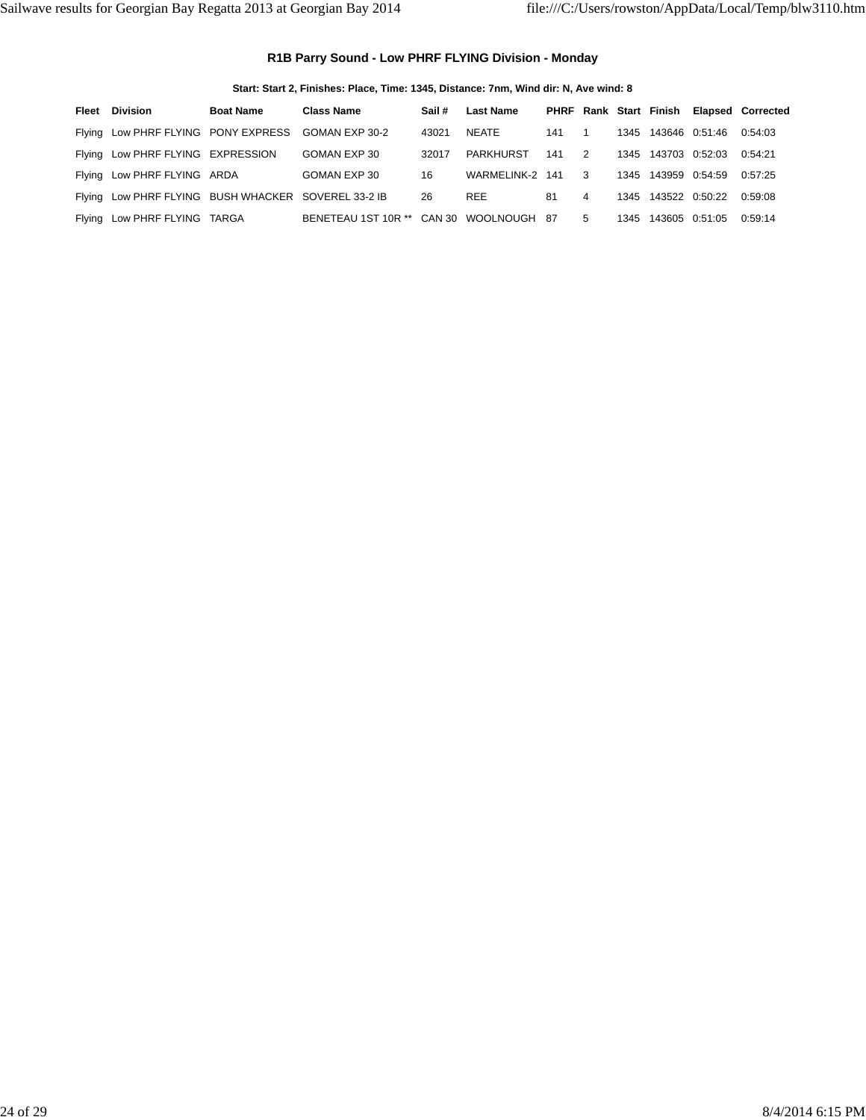### **R1B Parry Sound - Low PHRF FLYING Division - Monday**

**Start: Start 2, Finishes: Place, Time: 1345, Distance: 7nm, Wind dir: N, Ave wind: 8**

| Fleet | Division                                            | <b>Boat Name</b> | <b>Class Name</b>                       | Sail # | <b>Last Name</b> |     |                |      |                     |                     | PHRF Rank Start Finish Elapsed Corrected |
|-------|-----------------------------------------------------|------------------|-----------------------------------------|--------|------------------|-----|----------------|------|---------------------|---------------------|------------------------------------------|
|       | Flying Low PHRF FLYING PONY EXPRESS GOMAN EXP 30-2  |                  |                                         | 43021  | NEATE            | 141 | $\overline{1}$ |      |                     | 1345 143646 0:51:46 | 0.54:03                                  |
|       | Flying Low PHRF FLYING EXPRESSION                   |                  | GOMAN EXP 30                            | 32017  | PARKHURST        | 141 | $\overline{2}$ |      |                     | 1345 143703 0:52:03 | 0.54.21                                  |
|       | Flying Low PHRF FLYING ARDA                         |                  | GOMAN EXP 30                            | 16     | WARMELINK-2 141  |     | $\mathbf{3}$   |      | 1345 143959 0:54:59 |                     | 0:57:25                                  |
|       | Flying Low PHRF FLYING BUSH WHACKER SOVEREL 33-2 IB |                  |                                         | 26     | <b>REE</b>       | 81  | 4              |      | 1345 143522 0:50:22 |                     | 0.59.08                                  |
|       | Flying Low PHRF FLYING TARGA                        |                  | BENETEAU 1ST 10R ** CAN 30 WOOLNOUGH 87 |        |                  |     | -5             | 1345 | 143605 0:51:05      |                     | 0:59:14                                  |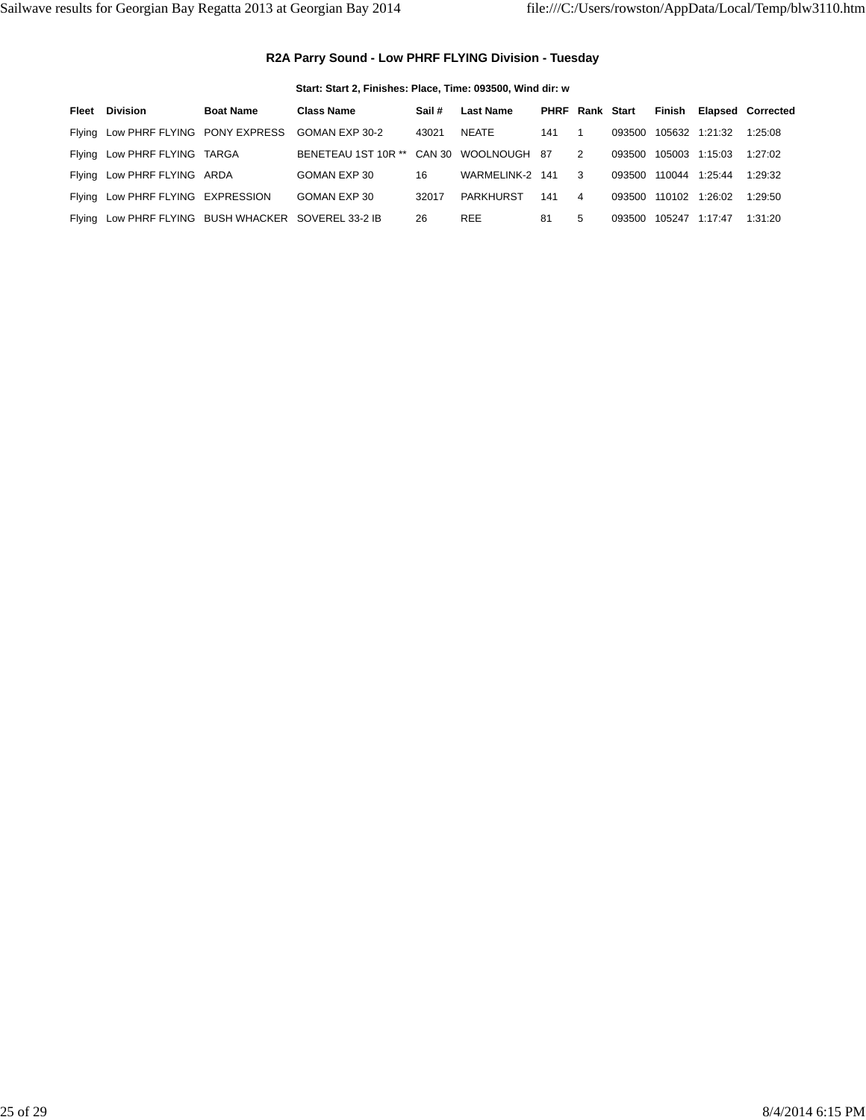### **R2A Parry Sound - Low PHRF FLYING Division - Tuesday**

| Start: Start 2, Finishes: Place, Time: 093500, Wind dir: w |  |  |  |  |  |  |
|------------------------------------------------------------|--|--|--|--|--|--|
|------------------------------------------------------------|--|--|--|--|--|--|

| Fleet | Division                                            | <b>Boat Name</b> | <b>Class Name</b>                       | Sail # | <b>Last Name</b> | <b>PHRF Rank Start</b> |                |        |               |                       | Finish Elapsed Corrected |
|-------|-----------------------------------------------------|------------------|-----------------------------------------|--------|------------------|------------------------|----------------|--------|---------------|-----------------------|--------------------------|
|       | Flying Low PHRF FLYING PONY EXPRESS GOMAN EXP 30-2  |                  |                                         | 43021  | NEATE            | 141                    |                | 093500 |               | 105632 1:21:32        | 1:25:08                  |
|       | Flying Low PHRF FLYING TARGA                        |                  | BENETEAU 1ST 10R ** CAN 30 WOOLNOUGH 87 |        |                  |                        | $\overline{2}$ | 093500 |               | 105003 1:15:03        | 1:27:02                  |
|       | Flying Low PHRF FLYING ARDA                         |                  | GOMAN EXP 30                            | 16     | WARMELINK-2 141  |                        | $\mathbf{R}$   |        | 093500 110044 | 1:25:44               | 1:29:32                  |
|       | Flying Low PHRF FLYING EXPRESSION                   |                  | GOMAN EXP 30                            | 32017  | PARKHURST        | 141                    | $\overline{4}$ |        |               | 093500 110102 1:26:02 | 1:29:50                  |
|       | Flying Low PHRF FLYING BUSH WHACKER SOVEREL 33-2 IB |                  |                                         | 26     | <b>REE</b>       | 81                     | 5              | 093500 | 105247        | 1:17:47               | 1:31:20                  |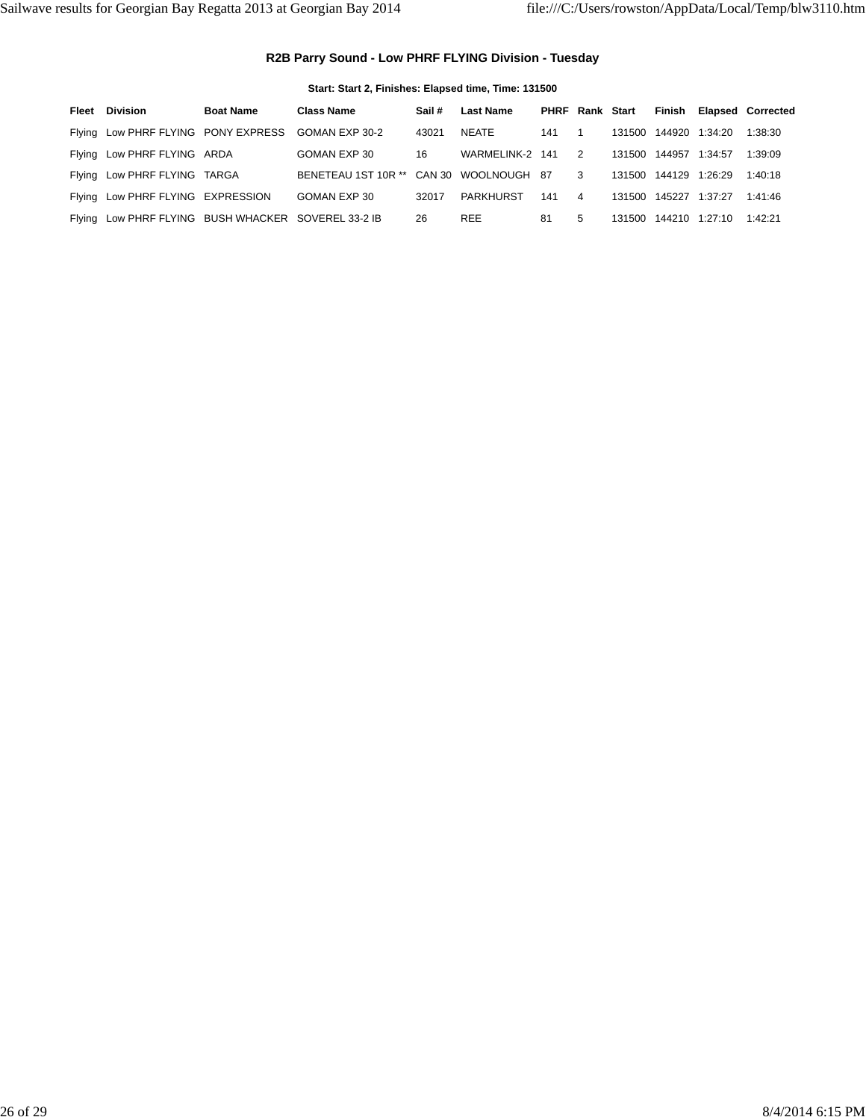### **R2B Parry Sound - Low PHRF FLYING Division - Tuesday**

**Start: Start 2, Finishes: Elapsed time, Time: 131500**

| Fleet | Division                                            | <b>Boat Name</b> | <b>Class Name</b>                       | Sail # | <b>Last Name</b> | <b>PHRF Rank Start</b> |                         |        |                       |                | Finish Elapsed Corrected |
|-------|-----------------------------------------------------|------------------|-----------------------------------------|--------|------------------|------------------------|-------------------------|--------|-----------------------|----------------|--------------------------|
|       | Flying Low PHRF FLYING PONY EXPRESS GOMAN EXP 30-2  |                  |                                         | 43021  | NEATE            | 141                    | $\overline{1}$          |        | 131500 144920 1:34:20 |                | 1:38:30                  |
|       | Flying Low PHRF FLYING ARDA                         |                  | GOMAN EXP 30                            | 16     | WARMELINK-2      | 141                    | $\overline{2}$          |        | 131500 144957         | 1:34:57        | 1:39:09                  |
|       | Flying Low PHRF FLYING TARGA                        |                  | BENETEAU 1ST 10R ** CAN 30 WOOLNOUGH 87 |        |                  |                        | $\overline{\mathbf{3}}$ |        | 131500 144129         | 1:26:29        | 1:40:18                  |
|       | Flying Low PHRF FLYING EXPRESSION                   |                  | GOMAN EXP 30                            | 32017  | PARKHURST        | 141                    | 4                       |        | 131500 145227         | 1:37:27        | 1:41:46                  |
|       | Flying Low PHRF FLYING BUSH WHACKER SOVEREL 33-2 IB |                  |                                         | 26     | <b>REE</b>       | 81                     | 5                       | 131500 |                       | 144210 1:27:10 | 1:42:21                  |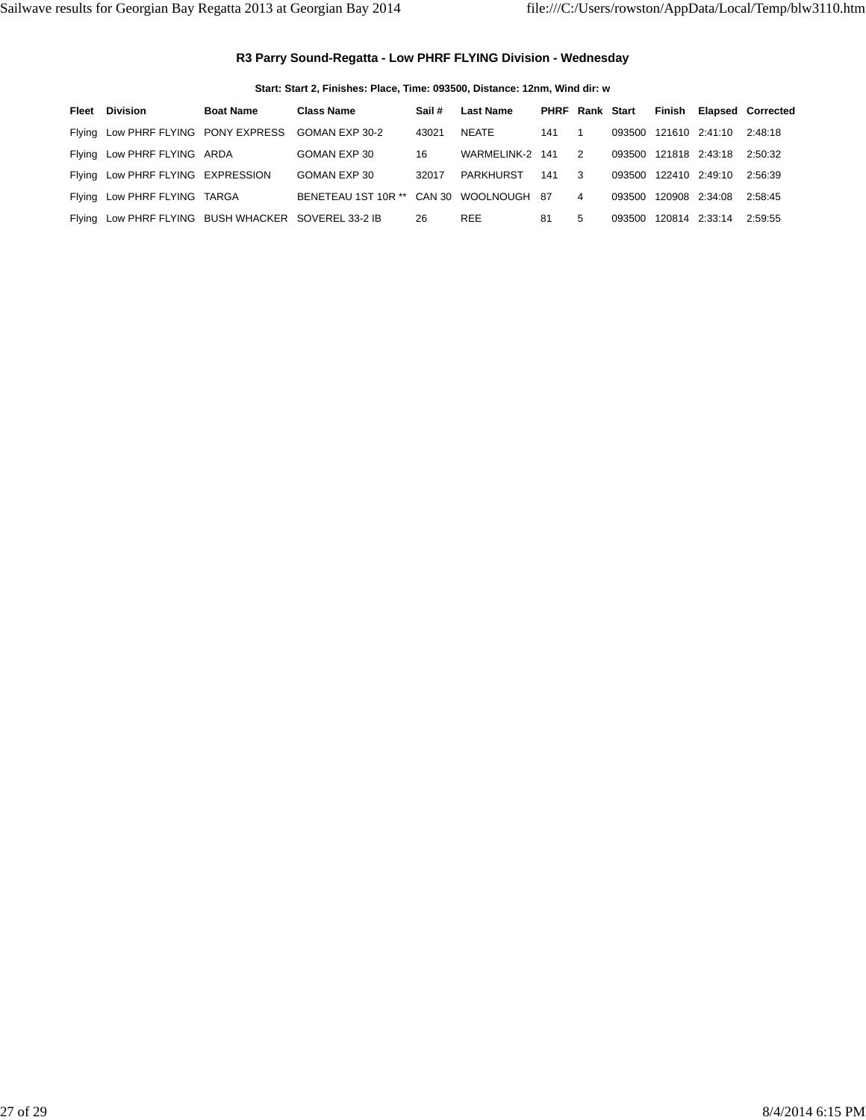#### **R3 Parry Sound-Regatta - Low PHRF FLYING Division - Wednesday**

**Start: Start 2, Finishes: Place, Time: 093500, Distance: 12nm, Wind dir: w**

| Fleet | Division                                            | <b>Boat Name</b> | <b>Class Name</b>                       | Sail# | <b>Last Name</b> | <b>PHRF Rank Start</b> |                |        |                       | Finish Elapsed Corrected |
|-------|-----------------------------------------------------|------------------|-----------------------------------------|-------|------------------|------------------------|----------------|--------|-----------------------|--------------------------|
|       | Flying Low PHRF FLYING PONY EXPRESS GOMAN EXP 30-2  |                  |                                         | 43021 | NEATE            | 141                    | $\overline{1}$ |        | 093500 121610 2:41:10 | 2:48:18                  |
|       | Flying Low PHRF FLYING ARDA                         |                  | GOMAN EXP 30                            | 16    | WARMELINK-2 141  |                        | $\overline{2}$ |        | 093500 121818 2:43:18 | 2:50:32                  |
|       | Flying Low PHRF FLYING EXPRESSION                   |                  | GOMAN EXP 30                            | 32017 | PARKHURST        | 141                    | $\mathbf{3}$   |        | 093500 122410 2:49:10 | 2:56:39                  |
|       | Flying Low PHRF FLYING TARGA                        |                  | BENETEAU 1ST 10R ** CAN 30 WOOLNOUGH 87 |       |                  |                        | $\overline{4}$ |        | 093500 120908 2:34:08 | 2:58:45                  |
|       | Flying Low PHRF FLYING BUSH WHACKER SOVEREL 33-2 IB |                  |                                         | 26    | <b>REE</b>       | 81                     | 5              | 093500 | 120814 2:33:14        | 2:59:55                  |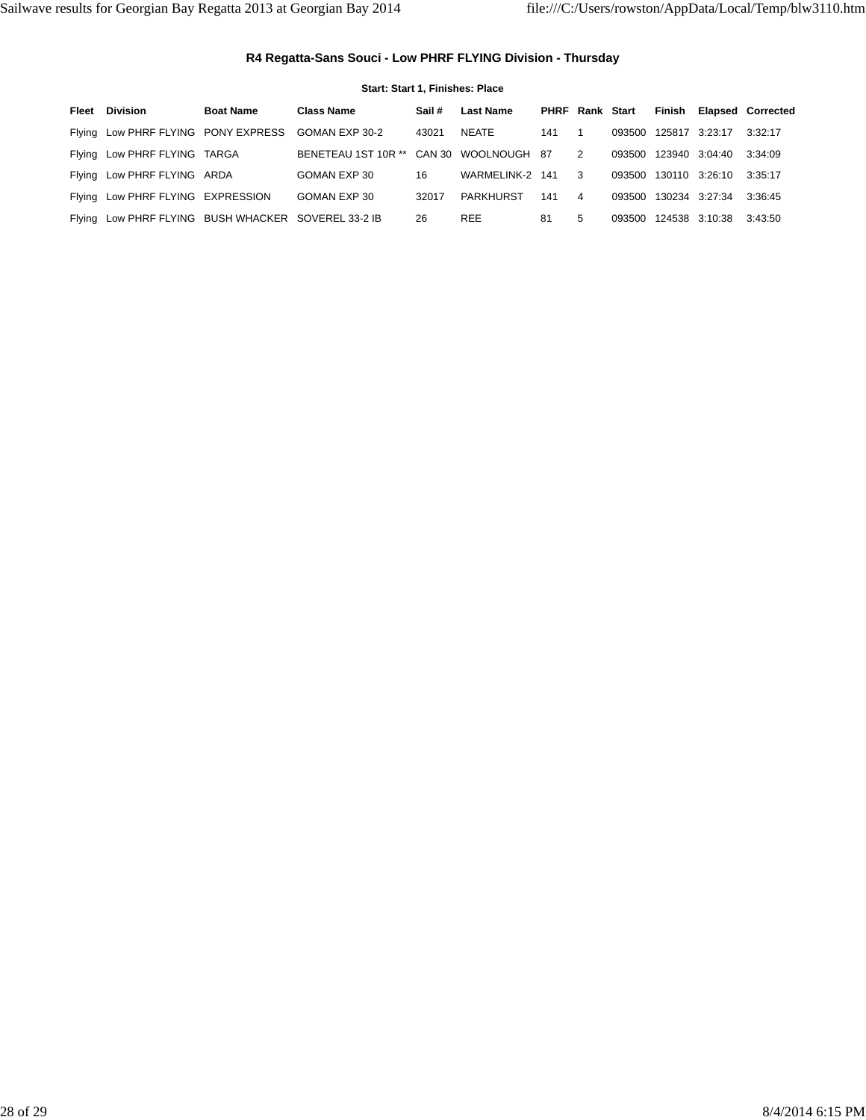### **R4 Regatta-Sans Souci - Low PHRF FLYING Division - Thursday**

| Start: Start 1. Finishes: Place                     |                  |                                         |       |                  |                        |                |        |        |                       |                          |
|-----------------------------------------------------|------------------|-----------------------------------------|-------|------------------|------------------------|----------------|--------|--------|-----------------------|--------------------------|
| <b>Fleet Division</b>                               | <b>Boat Name</b> | <b>Class Name</b>                       | Sail# | <b>Last Name</b> | <b>PHRF Rank Start</b> |                |        | Finish |                       | <b>Elapsed Corrected</b> |
| Flying Low PHRF FLYING PONY EXPRESS GOMAN EXP 30-2  |                  |                                         | 43021 | NEATE            | 141                    | $\overline{1}$ | 093500 |        | 125817 3:23:17        | 3:32:17                  |
| Flying Low PHRF FLYING TARGA                        |                  | BENETEAU 1ST 10R ** CAN 30 WOOLNOUGH 87 |       |                  |                        | $\overline{2}$ |        |        | 093500 123940 3:04:40 | 3:34:09                  |
| Flying Low PHRF FLYING ARDA                         |                  | GOMAN EXP 30                            | 16    | WARMELINK-2      | 141                    | $\mathbf{3}$   | 093500 |        | 130110 3:26:10        | 3:35:17                  |
| Flying Low PHRF FLYING EXPRESSION                   |                  | GOMAN EXP 30                            | 32017 | PARKHURST        | 141                    | $\overline{4}$ | 093500 |        | 130234 3:27:34        | 3:36:45                  |
| Flying Low PHRF FLYING BUSH WHACKER SOVEREL 33-2 IB |                  |                                         | 26    | <b>REE</b>       | 81                     | 5              | 093500 |        | 124538 3:10:38        | 3:43:50                  |
|                                                     |                  |                                         |       |                  |                        |                |        |        |                       |                          |